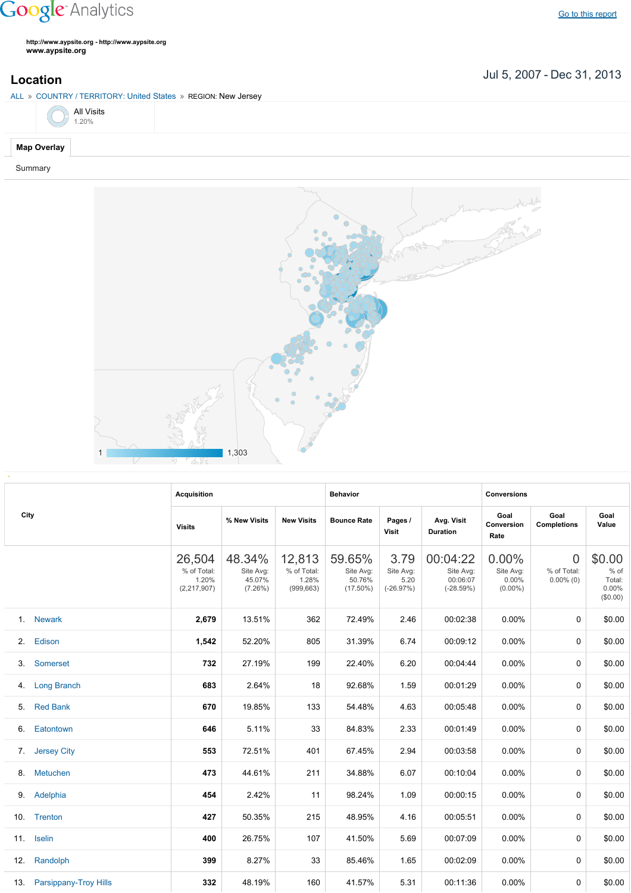## **Google** Analytics

**http://www.aypsite.org http://www.aypsite.org www.aypsite.org**

**Location** Jul 5, 2007 - Dec 31, 2013

| ALL » COUNTRY / TERRITORY: United States » REGION: New Jersey |  |  |
|---------------------------------------------------------------|--|--|
| All Visits $1.20\%$                                           |  |  |
| <b>Map Overlay</b>                                            |  |  |

Summary



|      |                           | <b>Acquisition</b>                            |                                             |                                              | <b>Behavior</b>                              |                                          |                                                  | <b>Conversions</b>                        |                                         |                                                 |  |
|------|---------------------------|-----------------------------------------------|---------------------------------------------|----------------------------------------------|----------------------------------------------|------------------------------------------|--------------------------------------------------|-------------------------------------------|-----------------------------------------|-------------------------------------------------|--|
| City |                           | <b>Visits</b>                                 | % New Visits                                | <b>New Visits</b>                            | <b>Bounce Rate</b>                           | Pages /<br><b>Visit</b>                  | Avg. Visit<br><b>Duration</b>                    | Goal<br><b>Conversion</b><br>Rate         | Goal<br><b>Completions</b>              | Goal<br>Value                                   |  |
|      |                           | 26,504<br>% of Total:<br>1.20%<br>(2,217,907) | 48.34%<br>Site Avg:<br>45.07%<br>$(7.26\%)$ | 12,813<br>% of Total:<br>1.28%<br>(999, 663) | 59.65%<br>Site Avg:<br>50.76%<br>$(17.50\%)$ | 3.79<br>Site Avg:<br>5.20<br>$(-26.97%)$ | 00:04:22<br>Site Avg:<br>00:06:07<br>$(-28.59%)$ | 0.00%<br>Site Avg:<br>0.00%<br>$(0.00\%)$ | $\Omega$<br>% of Total:<br>$0.00\%$ (0) | \$0.00<br>$%$ of<br>Total:<br>0.00%<br>(\$0.00) |  |
|      | 1. Newark                 | 2,679                                         | 13.51%                                      | 362                                          | 72.49%                                       | 2.46                                     | 00:02:38                                         | 0.00%                                     | $\mathbf{0}$                            | \$0.00                                          |  |
| 2.   | Edison                    | 1,542                                         | 52.20%                                      | 805                                          | 31.39%                                       | 6.74                                     | 00:09:12                                         | 0.00%                                     | 0                                       | \$0.00                                          |  |
| 3.   | Somerset                  | 732                                           | 27.19%                                      | 199                                          | 22.40%                                       | 6.20                                     | 00:04:44                                         | 0.00%                                     | $\mathbf{0}$                            | \$0.00                                          |  |
| 4.   | <b>Long Branch</b>        | 683                                           | 2.64%                                       | 18                                           | 92.68%                                       | 1.59                                     | 00:01:29                                         | 0.00%                                     | 0                                       | \$0.00                                          |  |
| 5.   | <b>Red Bank</b>           | 670                                           | 19.85%                                      | 133                                          | 54.48%                                       | 4.63                                     | 00:05:48                                         | 0.00%                                     | 0                                       | \$0.00                                          |  |
| 6.   | Eatontown                 | 646                                           | 5.11%                                       | 33                                           | 84.83%                                       | 2.33                                     | 00:01:49                                         | 0.00%                                     | 0                                       | \$0.00                                          |  |
| 7.   | <b>Jersey City</b>        | 553                                           | 72.51%                                      | 401                                          | 67.45%                                       | 2.94                                     | 00:03:58                                         | $0.00\%$                                  | 0                                       | \$0.00                                          |  |
| 8.   | Metuchen                  | 473                                           | 44.61%                                      | 211                                          | 34.88%                                       | 6.07                                     | 00:10:04                                         | 0.00%                                     | 0                                       | \$0.00                                          |  |
| 9.   | Adelphia                  | 454                                           | 2.42%                                       | 11                                           | 98.24%                                       | 1.09                                     | 00:00:15                                         | $0.00\%$                                  | 0                                       | \$0.00                                          |  |
| 10.  | Trenton                   | 427                                           | 50.35%                                      | 215                                          | 48.95%                                       | 4.16                                     | 00:05:51                                         | 0.00%                                     | 0                                       | \$0.00                                          |  |
| 11.  | <b>Iselin</b>             | 400                                           | 26.75%                                      | 107                                          | 41.50%                                       | 5.69                                     | 00:07:09                                         | 0.00%                                     | $\mathbf{0}$                            | \$0.00                                          |  |
| 12.  | Randolph                  | 399                                           | 8.27%                                       | 33                                           | 85.46%                                       | 1.65                                     | 00:02:09                                         | $0.00\%$                                  | 0                                       | \$0.00                                          |  |
|      | 13. Parsippany-Troy Hills | 332                                           | 48.19%                                      | 160                                          | 41.57%                                       | 5.31                                     | 00:11:36                                         | 0.00%                                     | $\mathbf{0}$                            | \$0.00                                          |  |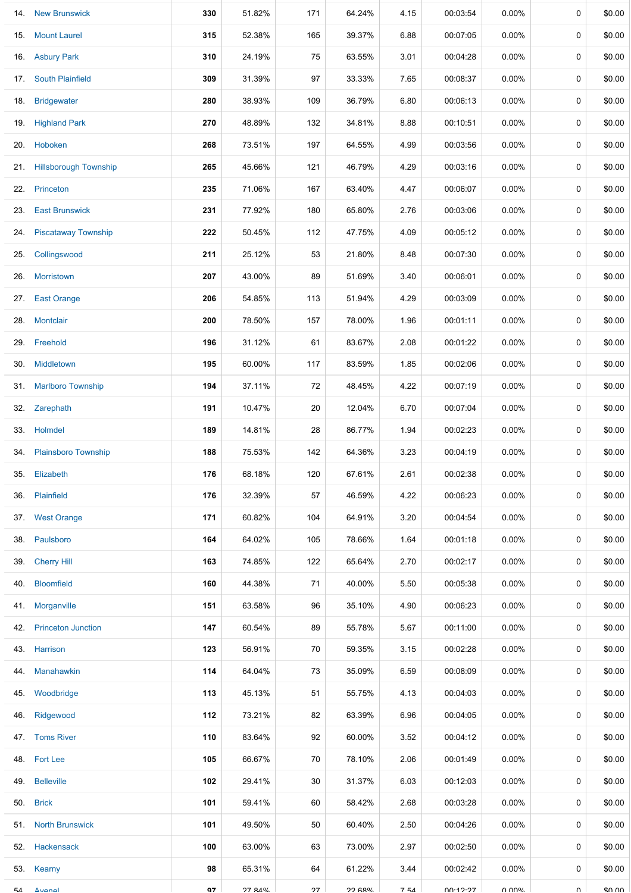|     | 14. New Brunswick          | 330 | 51.82% | 171 | 64.24%         | 4.15  | 00:03:54 | 0.00%    | 0           | \$0.00 |
|-----|----------------------------|-----|--------|-----|----------------|-------|----------|----------|-------------|--------|
| 15. | <b>Mount Laurel</b>        | 315 | 52.38% | 165 | 39.37%         | 6.88  | 00:07:05 | 0.00%    | $\mathbf 0$ | \$0.00 |
| 16. | <b>Asbury Park</b>         | 310 | 24.19% | 75  | 63.55%         | 3.01  | 00:04:28 | $0.00\%$ | 0           | \$0.00 |
| 17. | <b>South Plainfield</b>    | 309 | 31.39% | 97  | 33.33%         | 7.65  | 00:08:37 | $0.00\%$ | $\mathbf 0$ | \$0.00 |
| 18. | <b>Bridgewater</b>         | 280 | 38.93% | 109 | 36.79%         | 6.80  | 00:06:13 | $0.00\%$ | 0           | \$0.00 |
|     | 19. Highland Park          | 270 | 48.89% | 132 | 34.81%         | 8.88  | 00:10:51 | $0.00\%$ | 0           | \$0.00 |
| 20. | Hoboken                    | 268 | 73.51% | 197 | 64.55%         | 4.99  | 00:03:56 | $0.00\%$ | 0           | \$0.00 |
|     | 21. Hillsborough Township  | 265 | 45.66% | 121 | 46.79%         | 4.29  | 00:03:16 | $0.00\%$ | 0           | \$0.00 |
| 22. | Princeton                  | 235 | 71.06% | 167 | 63.40%         | 4.47  | 00:06:07 | 0.00%    | 0           | \$0.00 |
| 23. | <b>East Brunswick</b>      | 231 | 77.92% | 180 | 65.80%         | 2.76  | 00:03:06 | $0.00\%$ | 0           | \$0.00 |
| 24. | <b>Piscataway Township</b> | 222 | 50.45% | 112 | 47.75%         | 4.09  | 00:05:12 | 0.00%    | 0           | \$0.00 |
| 25. | Collingswood               | 211 | 25.12% | 53  | 21.80%         | 8.48  | 00:07:30 | 0.00%    | 0           | \$0.00 |
| 26. | Morristown                 | 207 | 43.00% | 89  | 51.69%         | 3.40  | 00:06:01 | $0.00\%$ | $\mathbf 0$ | \$0.00 |
| 27. | <b>East Orange</b>         | 206 | 54.85% | 113 | 51.94%         | 4.29  | 00:03:09 | $0.00\%$ | 0           | \$0.00 |
| 28. | <b>Montclair</b>           | 200 | 78.50% | 157 | 78.00%         | 1.96  | 00:01:11 | $0.00\%$ | 0           | \$0.00 |
| 29. | Freehold                   | 196 | 31.12% | 61  | 83.67%         | 2.08  | 00:01:22 | $0.00\%$ | 0           | \$0.00 |
| 30. | Middletown                 | 195 | 60.00% | 117 | 83.59%         | 1.85  | 00:02:06 | $0.00\%$ | 0           | \$0.00 |
| 31. | <b>Marlboro Township</b>   | 194 | 37.11% | 72  | 48.45%         | 4.22  | 00:07:19 | $0.00\%$ | 0           | \$0.00 |
| 32. | Zarephath                  | 191 | 10.47% | 20  | 12.04%         | 6.70  | 00:07:04 | $0.00\%$ | 0           | \$0.00 |
|     | 33. Holmdel                | 189 | 14.81% | 28  | 86.77%         | 1.94  | 00:02:23 | 0.00%    | $\mathbf 0$ | \$0.00 |
|     | 34. Plainsboro Township    | 188 | 75.53% | 142 | 64.36%         | 3.23  | 00:04:19 | $0.00\%$ | 0           | \$0.00 |
| 35. | Elizabeth                  | 176 | 68.18% | 120 | 67.61%         | 2.61  | 00:02:38 | $0.00\%$ | 0           | \$0.00 |
| 36. | Plainfield                 | 176 | 32.39% | 57  | 46.59%         | 4.22  | 00:06:23 | $0.00\%$ | 0           | \$0.00 |
|     | 37. West Orange            | 171 | 60.82% | 104 | 64.91%         | 3.20  | 00:04:54 | $0.00\%$ | 0           | \$0.00 |
| 38. | Paulsboro                  | 164 | 64.02% | 105 | 78.66%         | 1.64  | 00:01:18 | $0.00\%$ | 0           | \$0.00 |
| 39. | <b>Cherry Hill</b>         | 163 | 74.85% | 122 | 65.64%         | 2.70  | 00:02:17 | $0.00\%$ | 0           | \$0.00 |
| 40. | <b>Bloomfield</b>          | 160 | 44.38% | 71  | 40.00%         | 5.50  | 00:05:38 | $0.00\%$ | 0           | \$0.00 |
| 41. | Morganville                | 151 | 63.58% | 96  | 35.10%         | 4.90  | 00:06:23 | $0.00\%$ | 0           | \$0.00 |
| 42. | <b>Princeton Junction</b>  | 147 | 60.54% | 89  | 55.78%         | 5.67  | 00:11:00 | $0.00\%$ | 0           | \$0.00 |
|     | 43. Harrison               | 123 | 56.91% | 70  | 59.35%         | 3.15  | 00:02:28 | $0.00\%$ | 0           | \$0.00 |
| 44. | Manahawkin                 | 114 | 64.04% | 73  | 35.09%         | 6.59  | 00:08:09 | 0.00%    | 0           | \$0.00 |
| 45. | Woodbridge                 | 113 | 45.13% | 51  | 55.75%         | 4.13  | 00:04:03 | $0.00\%$ | 0           | \$0.00 |
| 46. | Ridgewood                  | 112 | 73.21% | 82  | 63.39%         | 6.96  | 00:04:05 | $0.00\%$ | 0           | \$0.00 |
|     | 47. Toms River             | 110 | 83.64% | 92  | 60.00%         | 3.52  | 00:04:12 | $0.00\%$ | 0           | \$0.00 |
|     | 48. Fort Lee               | 105 | 66.67% | 70  | 78.10%         | 2.06  | 00:01:49 | $0.00\%$ | 0           | \$0.00 |
| 49. | <b>Belleville</b>          | 102 | 29.41% | 30  | 31.37%         | 6.03  | 00:12:03 | $0.00\%$ | 0           | \$0.00 |
| 50. | <b>Brick</b>               | 101 | 59.41% | 60  | 58.42%         | 2.68  | 00:03:28 | $0.00\%$ | 0           | \$0.00 |
| 51. | <b>North Brunswick</b>     | 101 | 49.50% | 50  | 60.40%         | 2.50  | 00:04:26 | $0.00\%$ | 0           | \$0.00 |
| 52. | Hackensack                 | 100 | 63.00% | 63  | 73.00%         | 2.97  | 00:02:50 | $0.00\%$ | 0           | \$0.00 |
| 53. | Kearny                     | 98  | 65.31% | 64  | 61.22%         | 3.44  | 00:02:42 | $0.00\%$ | 0           | \$0.00 |
| г.  | Avanal                     | Δ7  | 27 84% | 27  | <b>22 GROL</b> | $7F1$ | 00.19.97 | VOUU U   | $\cap$      | eu uu  |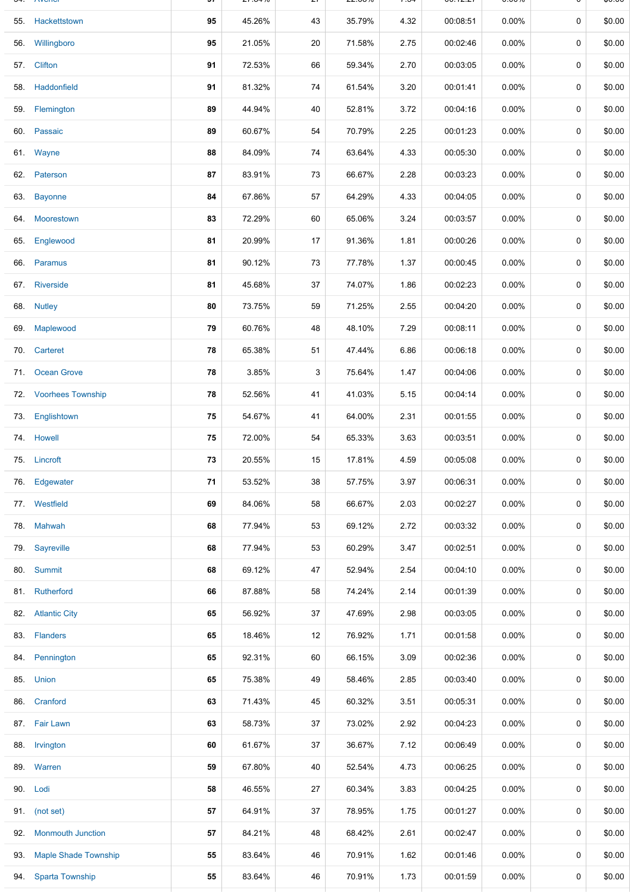| UNCITOR                  | Jı | 41. UT 70 | 21 | 44.UU 70 | +ن. ≀ | 00.14.41 | <b>0.0070</b> |   | ψυ.υυ  |
|--------------------------|----|-----------|----|----------|-------|----------|---------------|---|--------|
| 55. Hackettstown         | 95 | 45.26%    | 43 | 35.79%   | 4.32  | 00:08:51 | 0.00%         | 0 | \$0.00 |
| 56. Willingboro          | 95 | 21.05%    | 20 | 71.58%   | 2.75  | 00:02:46 | 0.00%         | 0 | \$0.00 |
| 57. Clifton              | 91 | 72.53%    | 66 | 59.34%   | 2.70  | 00:03:05 | $0.00\%$      | 0 | \$0.00 |
| 58. Haddonfield          | 91 | 81.32%    | 74 | 61.54%   | 3.20  | 00:01:41 | $0.00\%$      | 0 | \$0.00 |
| 59. Flemington           | 89 | 44.94%    | 40 | 52.81%   | 3.72  | 00:04:16 | $0.00\%$      | 0 | \$0.00 |
| 60. Passaic              | 89 | 60.67%    | 54 | 70.79%   | 2.25  | 00:01:23 | 0.00%         | 0 | \$0.00 |
| 61. Wayne                | 88 | 84.09%    | 74 | 63.64%   | 4.33  | 00:05:30 | 0.00%         | 0 | \$0.00 |
| 62. Paterson             | 87 | 83.91%    | 73 | 66.67%   | 2.28  | 00:03:23 | $0.00\%$      | 0 | \$0.00 |
| 63. Bayonne              | 84 | 67.86%    | 57 | 64.29%   | 4.33  | 00:04:05 | $0.00\%$      | 0 | \$0.00 |
| 64. Moorestown           | 83 | 72.29%    | 60 | 65.06%   | 3.24  | 00:03:57 | 0.00%         | 0 | \$0.00 |
| 65. Englewood            | 81 | 20.99%    | 17 | 91.36%   | 1.81  | 00:00:26 | $0.00\%$      | 0 | \$0.00 |
| 66. Paramus              | 81 | 90.12%    | 73 | 77.78%   | 1.37  | 00:00:45 | 0.00%         | 0 | \$0.00 |
| 67. Riverside            | 81 | 45.68%    | 37 | 74.07%   | 1.86  | 00:02:23 | 0.00%         | 0 | \$0.00 |
| 68. Nutley               | 80 | 73.75%    | 59 | 71.25%   | 2.55  | 00:04:20 | $0.00\%$      | 0 | \$0.00 |
| 69. Maplewood            | 79 | 60.76%    | 48 | 48.10%   | 7.29  | 00:08:11 | $0.00\%$      | 0 | \$0.00 |
| 70. Carteret             | 78 | 65.38%    | 51 | 47.44%   | 6.86  | 00:06:18 | $0.00\%$      | 0 | \$0.00 |
| 71. Ocean Grove          | 78 | 3.85%     | 3  | 75.64%   | 1.47  | 00:04:06 | 0.00%         | 0 | \$0.00 |
| 72. Voorhees Township    | 78 | 52.56%    | 41 | 41.03%   | 5.15  | 00:04:14 | $0.00\%$      | 0 | \$0.00 |
| 73. Englishtown          | 75 | 54.67%    | 41 | 64.00%   | 2.31  | 00:01:55 | 0.00%         | 0 | \$0.00 |
| 74. Howell               | 75 | 72.00%    | 54 | 65.33%   | 3.63  | 00:03:51 | $0.00\%$      | 0 | \$0.00 |
| 75. Lincroft             | 73 | 20.55%    | 15 | 17.81%   | 4.59  | 00:05:08 | 0.00%         | 0 | \$0.00 |
| 76. Edgewater            | 71 | 53.52%    | 38 | 57.75%   | 3.97  | 00:06:31 | 0.00%         | 0 | \$0.00 |
| 77. Westfield            | 69 | 84.06%    | 58 | 66.67%   | 2.03  | 00:02:27 | 0.00%         | 0 | \$0.00 |
| 78. Mahwah               | 68 | 77.94%    | 53 | 69.12%   | 2.72  | 00:03:32 | 0.00%         | 0 | \$0.00 |
| 79. Sayreville           | 68 | 77.94%    | 53 | 60.29%   | 3.47  | 00:02:51 | $0.00\%$      | 0 | \$0.00 |
| 80. Summit               | 68 | 69.12%    | 47 | 52.94%   | 2.54  | 00:04:10 | 0.00%         | 0 | \$0.00 |
| 81. Rutherford           | 66 | 87.88%    | 58 | 74.24%   | 2.14  | 00:01:39 | 0.00%         | 0 | \$0.00 |
| 82. Atlantic City        | 65 | 56.92%    | 37 | 47.69%   | 2.98  | 00:03:05 | 0.00%         | 0 | \$0.00 |
| 83. Flanders             | 65 | 18.46%    | 12 | 76.92%   | 1.71  | 00:01:58 | 0.00%         | 0 | \$0.00 |
| 84. Pennington           | 65 | 92.31%    | 60 | 66.15%   | 3.09  | 00:02:36 | $0.00\%$      | 0 | \$0.00 |
| 85. Union                | 65 | 75.38%    | 49 | 58.46%   | 2.85  | 00:03:40 | $0.00\%$      | 0 | \$0.00 |
| 86. Cranford             | 63 | 71.43%    | 45 | 60.32%   | 3.51  | 00:05:31 | $0.00\%$      | 0 | \$0.00 |
| 87. Fair Lawn            | 63 | 58.73%    | 37 | 73.02%   | 2.92  | 00:04:23 | $0.00\%$      | 0 | \$0.00 |
| 88. Irvington            | 60 | 61.67%    | 37 | 36.67%   | 7.12  | 00:06:49 | 0.00%         | 0 | \$0.00 |
| 89. Warren               | 59 | 67.80%    | 40 | 52.54%   | 4.73  | 00:06:25 | 0.00%         | 0 | \$0.00 |
| 90. Lodi                 | 58 | 46.55%    | 27 | 60.34%   | 3.83  | 00:04:25 | 0.00%         | 0 | \$0.00 |
| 91. (not set)            | 57 | 64.91%    | 37 | 78.95%   | 1.75  | 00:01:27 | 0.00%         | 0 | \$0.00 |
| 92. Monmouth Junction    | 57 | 84.21%    | 48 | 68.42%   | 2.61  | 00:02:47 | $0.00\%$      | 0 | \$0.00 |
| 93. Maple Shade Township | 55 | 83.64%    | 46 | 70.91%   | 1.62  | 00:01:46 | 0.00%         | 0 | \$0.00 |
| 94. Sparta Township      | 55 | 83.64%    | 46 | 70.91%   | 1.73  | 00:01:59 | 0.00%         | 0 | \$0.00 |
|                          |    |           |    |          |       |          |               |   |        |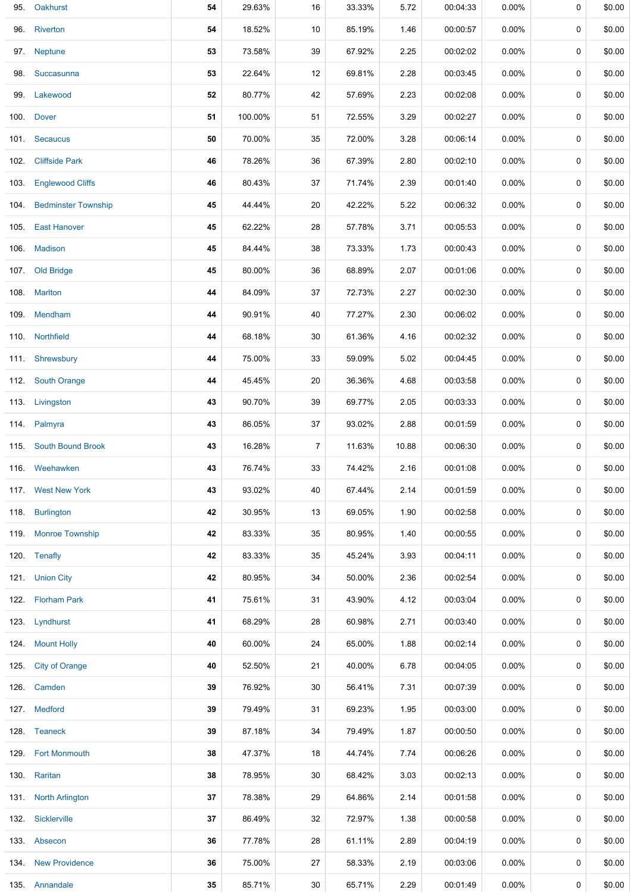| 95.  | Oakhurst                 | 54 | 29.63%  | 16 | 33.33% | 5.72  | 00:04:33 | 0.00%    | 0           | \$0.00 |
|------|--------------------------|----|---------|----|--------|-------|----------|----------|-------------|--------|
|      | 96. Riverton             | 54 | 18.52%  | 10 | 85.19% | 1.46  | 00:00:57 | 0.00%    | $\mathbf 0$ | \$0.00 |
|      | 97. Neptune              | 53 | 73.58%  | 39 | 67.92% | 2.25  | 00:02:02 | 0.00%    | 0           | \$0.00 |
|      | 98. Succasunna           | 53 | 22.64%  | 12 | 69.81% | 2.28  | 00:03:45 | 0.00%    | 0           | \$0.00 |
| 99.  | Lakewood                 | 52 | 80.77%  | 42 | 57.69% | 2.23  | 00:02:08 | 0.00%    | 0           | \$0.00 |
|      | 100. Dover               | 51 | 100.00% | 51 | 72.55% | 3.29  | 00:02:27 | 0.00%    | 0           | \$0.00 |
|      | 101. Secaucus            | 50 | 70.00%  | 35 | 72.00% | 3.28  | 00:06:14 | 0.00%    | 0           | \$0.00 |
|      | 102. Cliffside Park      | 46 | 78.26%  | 36 | 67.39% | 2.80  | 00:02:10 | 0.00%    | 0           | \$0.00 |
| 103. | <b>Englewood Cliffs</b>  | 46 | 80.43%  | 37 | 71.74% | 2.39  | 00:01:40 | 0.00%    | 0           | \$0.00 |
|      | 104. Bedminster Township | 45 | 44.44%  | 20 | 42.22% | 5.22  | 00:06:32 | 0.00%    | 0           | \$0.00 |
|      | 105. East Hanover        | 45 | 62.22%  | 28 | 57.78% | 3.71  | 00:05:53 | 0.00%    | 0           | \$0.00 |
|      | 106. Madison             | 45 | 84.44%  | 38 | 73.33% | 1.73  | 00:00:43 | 0.00%    | 0           | \$0.00 |
|      | 107. Old Bridge          | 45 | 80.00%  | 36 | 68.89% | 2.07  | 00:01:06 | 0.00%    | 0           | \$0.00 |
|      | 108. Marlton             | 44 | 84.09%  | 37 | 72.73% | 2.27  | 00:02:30 | 0.00%    | 0           | \$0.00 |
|      | 109. Mendham             | 44 | 90.91%  | 40 | 77.27% | 2.30  | 00:06:02 | 0.00%    | 0           | \$0.00 |
|      | 110. Northfield          | 44 | 68.18%  | 30 | 61.36% | 4.16  | 00:02:32 | 0.00%    | 0           | \$0.00 |
|      | 111. Shrewsbury          | 44 | 75.00%  | 33 | 59.09% | 5.02  | 00:04:45 | 0.00%    | 0           | \$0.00 |
|      | 112. South Orange        | 44 | 45.45%  | 20 | 36.36% | 4.68  | 00:03:58 | 0.00%    | 0           | \$0.00 |
|      | 113. Livingston          | 43 | 90.70%  | 39 | 69.77% | 2.05  | 00:03:33 | 0.00%    | 0           | \$0.00 |
|      | 114. Palmyra             | 43 | 86.05%  | 37 | 93.02% | 2.88  | 00:01:59 | 0.00%    | 0           | \$0.00 |
|      | 115. South Bound Brook   | 43 | 16.28%  | 7  | 11.63% | 10.88 | 00:06:30 | 0.00%    | 0           | \$0.00 |
|      | 116. Weehawken           | 43 | 76.74%  | 33 | 74.42% | 2.16  | 00:01:08 | 0.00%    | 0           | \$0.00 |
|      | 117. West New York       | 43 | 93.02%  | 40 | 67.44% | 2.14  | 00:01:59 | 0.00%    | 0           | \$0.00 |
|      | 118. Burlington          | 42 | 30.95%  | 13 | 69.05% | 1.90  | 00:02:58 | 0.00%    | 0           | \$0.00 |
|      | 119. Monroe Township     | 42 | 83.33%  | 35 | 80.95% | 1.40  | 00:00:55 | 0.00%    | 0           | \$0.00 |
|      | 120. Tenafly             | 42 | 83.33%  | 35 | 45.24% | 3.93  | 00:04:11 | $0.00\%$ | 0           | \$0.00 |
|      | 121. Union City          | 42 | 80.95%  | 34 | 50.00% | 2.36  | 00:02:54 | $0.00\%$ | 0           | \$0.00 |
|      | 122. Florham Park        | 41 | 75.61%  | 31 | 43.90% | 4.12  | 00:03:04 | 0.00%    | 0           | \$0.00 |
|      | 123. Lyndhurst           | 41 | 68.29%  | 28 | 60.98% | 2.71  | 00:03:40 | $0.00\%$ | 0           | \$0.00 |
|      | 124. Mount Holly         | 40 | 60.00%  | 24 | 65.00% | 1.88  | 00:02:14 | 0.00%    | 0           | \$0.00 |
|      | 125. City of Orange      | 40 | 52.50%  | 21 | 40.00% | 6.78  | 00:04:05 | 0.00%    | 0           | \$0.00 |
|      | 126. Camden              | 39 | 76.92%  | 30 | 56.41% | 7.31  | 00:07:39 | 0.00%    | 0           | \$0.00 |
|      | 127. Medford             | 39 | 79.49%  | 31 | 69.23% | 1.95  | 00:03:00 | 0.00%    | 0           | \$0.00 |
|      | 128. Teaneck             | 39 | 87.18%  | 34 | 79.49% | 1.87  | 00:00:50 | $0.00\%$ | 0           | \$0.00 |
|      | 129. Fort Monmouth       | 38 | 47.37%  | 18 | 44.74% | 7.74  | 00:06:26 | $0.00\%$ | 0           | \$0.00 |
|      | 130. Raritan             | 38 | 78.95%  | 30 | 68.42% | 3.03  | 00:02:13 | $0.00\%$ | 0           | \$0.00 |
|      | 131. North Arlington     | 37 | 78.38%  | 29 | 64.86% | 2.14  | 00:01:58 | $0.00\%$ | 0           | \$0.00 |
|      | 132 Sicklerville         | 37 | 86.49%  | 32 | 72.97% | 1.38  | 00:00:58 | 0.00%    | 0           | \$0.00 |
|      | 133. Absecon             | 36 | 77.78%  | 28 | 61.11% | 2.89  | 00:04:19 | 0.00%    | 0           | \$0.00 |
|      | 134. New Providence      | 36 | 75.00%  | 27 | 58.33% | 2.19  | 00:03:06 | 0.00%    | 0           | \$0.00 |
|      | 135. Annandale           | 35 | 85.71%  | 30 | 65.71% | 2.29  | 00:01:49 | 0.00%    | 0           | \$0.00 |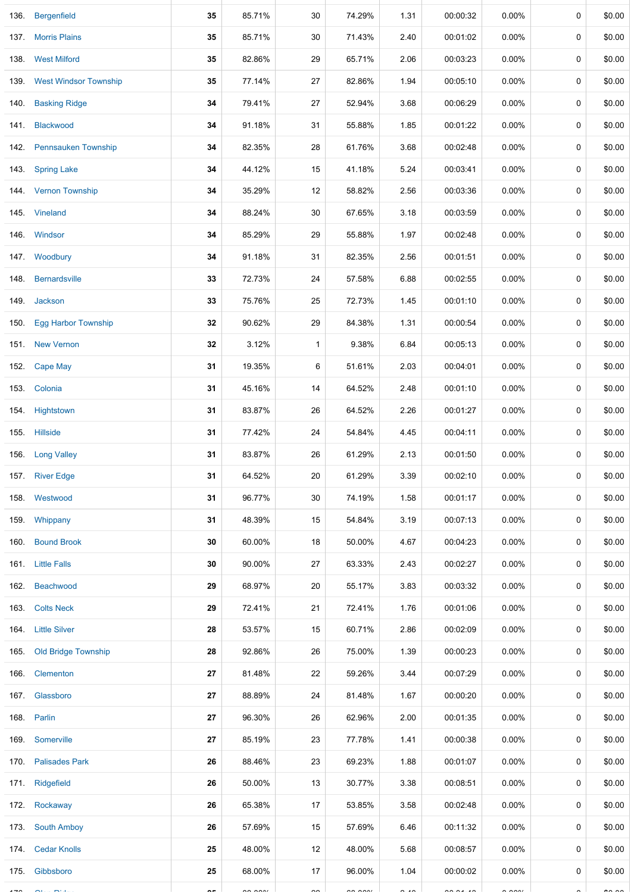|      | 136. Bergenfield           | 35    | 85.71%        | 30                       | 74.29%        | 1.31          | 00:00:32 | 0.00%                       | 0 | \$0.00        |
|------|----------------------------|-------|---------------|--------------------------|---------------|---------------|----------|-----------------------------|---|---------------|
|      | 137 Morris Plains          | 35    | 85.71%        | 30                       | 71.43%        | 2.40          | 00:01:02 | $0.00\%$                    | 0 | \$0.00        |
|      | 138 West Milford           | 35    | 82.86%        | 29                       | 65.71%        | 2.06          | 00:03:23 | $0.00\%$                    | 0 | \$0.00        |
|      | 139. West Windsor Township | 35    | 77.14%        | 27                       | 82.86%        | 1.94          | 00:05:10 | $0.00\%$                    | 0 | \$0.00        |
| 140. | <b>Basking Ridge</b>       | 34    | 79.41%        | 27                       | 52.94%        | 3.68          | 00:06:29 | $0.00\%$                    | 0 | \$0.00        |
| 141. | <b>Blackwood</b>           | 34    | 91.18%        | 31                       | 55.88%        | 1.85          | 00:01:22 | $0.00\%$                    | 0 | \$0.00        |
|      | 142. Pennsauken Township   | 34    | 82.35%        | 28                       | 61.76%        | 3.68          | 00:02:48 | $0.00\%$                    | 0 | \$0.00        |
|      | 143. Spring Lake           | 34    | 44.12%        | 15                       | 41.18%        | 5.24          | 00:03:41 | $0.00\%$                    | 0 | \$0.00        |
|      | 144. Vernon Township       | 34    | 35.29%        | 12                       | 58.82%        | 2.56          | 00:03:36 | 0.00%                       | 0 | \$0.00        |
|      | 145. Vineland              | 34    | 88.24%        | 30                       | 67.65%        | 3.18          | 00:03:59 | 0.00%                       | 0 | \$0.00        |
|      | 146. Windsor               | 34    | 85.29%        | 29                       | 55.88%        | 1.97          | 00:02:48 | $0.00\%$                    | 0 | \$0.00        |
|      | 147. Woodbury              | 34    | 91.18%        | 31                       | 82.35%        | 2.56          | 00:01:51 | $0.00\%$                    | 0 | \$0.00        |
| 148. | <b>Bernardsville</b>       | 33    | 72.73%        | 24                       | 57.58%        | 6.88          | 00:02:55 | $0.00\%$                    | 0 | \$0.00        |
|      | 149. Jackson               | 33    | 75.76%        | 25                       | 72.73%        | 1.45          | 00:01:10 | $0.00\%$                    | 0 | \$0.00        |
| 150. | <b>Egg Harbor Township</b> | 32    | 90.62%        | 29                       | 84.38%        | 1.31          | 00:00:54 | $0.00\%$                    | 0 | \$0.00        |
|      | 151 New Vernon             | 32    | 3.12%         | $\mathbf{1}$             | 9.38%         | 6.84          | 00:05:13 | $0.00\%$                    | 0 | \$0.00        |
| 152. | Cape May                   | 31    | 19.35%        | 6                        | 51.61%        | 2.03          | 00:04:01 | $0.00\%$                    | 0 | \$0.00        |
|      | 153. Colonia               | 31    | 45.16%        | 14                       | 64.52%        | 2.48          | 00:01:10 | $0.00\%$                    | 0 | \$0.00        |
|      | 154. Hightstown            | 31    | 83.87%        | 26                       | 64.52%        | 2.26          | 00:01:27 | $0.00\%$                    | 0 | \$0.00        |
|      | 155. Hillside              | 31    | 77.42%        | 24                       | 54.84%        | 4.45          | 00:04:11 | $0.00\%$                    | 0 | \$0.00        |
|      | 156. Long Valley           | 31    | 83.87%        | 26                       | 61.29%        | 2.13          | 00:01:50 | $0.00\%$                    | 0 | \$0.00        |
|      | 157. River Edge            | 31    | 64.52%        | 20                       | 61.29%        | 3.39          | 00:02:10 | 0.00%                       | 0 | \$0.00        |
|      | 158 Westwood               | 31    | 96.77%        | 30                       | 74.19%        | 1.58          | 00:01:17 | 0.00%                       | 0 | \$0.00        |
|      | 159. Whippany              | 31    | 48.39%        | 15                       | 54.84%        | 3.19          | 00:07:13 | 0.00%                       | 0 | \$0.00        |
|      | 160. Bound Brook           | 30    | 60.00%        | 18                       | 50.00%        | 4.67          | 00:04:23 | 0.00%                       | 0 | \$0.00        |
|      | 161. Little Falls          | 30    | 90.00%        | 27                       | 63.33%        | 2.43          | 00:02:27 | $0.00\%$                    | 0 | \$0.00        |
|      | 162. Beachwood             | 29    | 68.97%        | 20                       | 55.17%        | 3.83          | 00:03:32 | $0.00\%$                    | 0 | \$0.00        |
|      | 163 Colts Neck             | 29    | 72.41%        | 21                       | 72.41%        | 1.76          | 00:01:06 | $0.00\%$                    | 0 | \$0.00        |
|      | 164. Little Silver         | 28    | 53.57%        | 15                       | 60.71%        | 2.86          | 00:02:09 | $0.00\%$                    | 0 | \$0.00        |
|      | 165. Old Bridge Township   | 28    | 92.86%        | 26                       | 75.00%        | 1.39          | 00:00:23 | $0.00\%$                    | 0 | \$0.00        |
|      | 166. Clementon             | 27    | 81.48%        | 22                       | 59.26%        | 3.44          | 00:07:29 | $0.00\%$                    | 0 | \$0.00        |
|      | 167. Glassboro             | 27    | 88.89%        | 24                       | 81.48%        | 1.67          | 00:00:20 | $0.00\%$                    | 0 | \$0.00        |
|      | 168. Parlin                | 27    | 96.30%        | 26                       | 62.96%        | 2.00          | 00:01:35 | 0.00%                       | 0 | \$0.00        |
|      | 169. Somerville            | 27    | 85.19%        | 23                       | 77.78%        | 1.41          | 00:00:38 | 0.00%                       | 0 | \$0.00        |
|      | 170. Palisades Park        | 26    | 88.46%        | 23                       | 69.23%        | 1.88          | 00:01:07 | 0.00%                       | 0 | \$0.00        |
|      | 171. Ridgefield            | 26    | 50.00%        | 13                       | 30.77%        | 3.38          | 00:08:51 | $0.00\%$                    | 0 | \$0.00        |
|      | 172. Rockaway              | 26    | 65.38%        | 17                       | 53.85%        | 3.58          | 00:02:48 | $0.00\%$                    | 0 | \$0.00        |
|      | 173. South Amboy           | 26    | 57.69%        | 15                       | 57.69%        | 6.46          | 00:11:32 | $0.00\%$                    | 0 | \$0.00        |
|      | 174. Cedar Knolls          | 25    | 48.00%        | 12                       | 48.00%        | 5.68          | 00:08:57 | $0.00\%$                    | 0 | \$0.00        |
|      | 175. Gibbsboro             | 25    | 68.00%        | 17                       | 96.00%        | 1.04          | 00:00:02 | $0.00\%$                    | 0 | \$0.00        |
|      |                            | $- -$ | $\sim$ $\sim$ | $\overline{\phantom{a}}$ | $\sim$ $\sim$ | $\sim$ $\sim$ |          | $\sim$ $\sim$ $\sim$ $\sim$ |   | $\sim$ $\sim$ |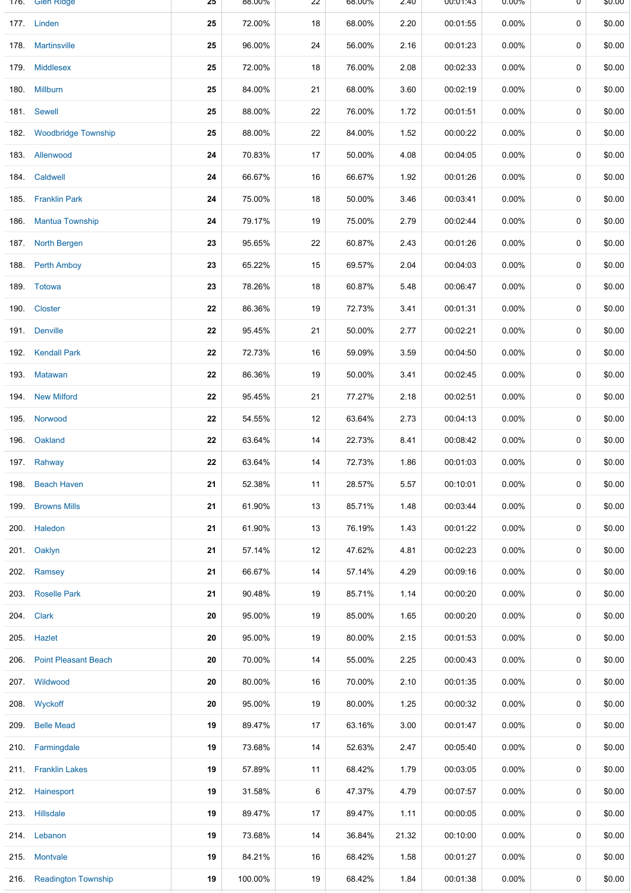|      | 176. Glen Ridge             | 25 | 88.00%  | 22 | 68.00% | 2.40  | 00:01:43 | 0.00%    | U | \$0.00 |
|------|-----------------------------|----|---------|----|--------|-------|----------|----------|---|--------|
|      | 177. Linden                 | 25 | 72.00%  | 18 | 68.00% | 2.20  | 00:01:55 | 0.00%    | 0 | \$0.00 |
|      | 178. Martinsville           | 25 | 96.00%  | 24 | 56.00% | 2.16  | 00:01:23 | 0.00%    | 0 | \$0.00 |
| 179. | <b>Middlesex</b>            | 25 | 72.00%  | 18 | 76.00% | 2.08  | 00:02:33 | 0.00%    | 0 | \$0.00 |
|      | 180. Millburn               | 25 | 84.00%  | 21 | 68.00% | 3.60  | 00:02:19 | 0.00%    | 0 | \$0.00 |
|      | 181. Sewell                 | 25 | 88.00%  | 22 | 76.00% | 1.72  | 00:01:51 | 0.00%    | 0 | \$0.00 |
|      | 182. Woodbridge Township    | 25 | 88.00%  | 22 | 84.00% | 1.52  | 00:00:22 | 0.00%    | 0 | \$0.00 |
|      | 183. Allenwood              | 24 | 70.83%  | 17 | 50.00% | 4.08  | 00:04:05 | 0.00%    | 0 | \$0.00 |
|      | 184. Caldwell               | 24 | 66.67%  | 16 | 66.67% | 1.92  | 00:01:26 | 0.00%    | 0 | \$0.00 |
|      | 185. Franklin Park          | 24 | 75.00%  | 18 | 50.00% | 3.46  | 00:03:41 | $0.00\%$ | 0 | \$0.00 |
| 186. | <b>Mantua Township</b>      | 24 | 79.17%  | 19 | 75.00% | 2.79  | 00:02:44 | 0.00%    | 0 | \$0.00 |
|      | 187. North Bergen           | 23 | 95.65%  | 22 | 60.87% | 2.43  | 00:01:26 | 0.00%    | 0 | \$0.00 |
| 188. | <b>Perth Amboy</b>          | 23 | 65.22%  | 15 | 69.57% | 2.04  | 00:04:03 | 0.00%    | 0 | \$0.00 |
|      | 189. Totowa                 | 23 | 78.26%  | 18 | 60.87% | 5.48  | 00:06:47 | 0.00%    | 0 | \$0.00 |
| 190. | <b>Closter</b>              | 22 | 86.36%  | 19 | 72.73% | 3.41  | 00:01:31 | 0.00%    | 0 | \$0.00 |
|      | 191. Denville               | 22 | 95.45%  | 21 | 50.00% | 2.77  | 00:02:21 | 0.00%    | 0 | \$0.00 |
|      | 192. Kendall Park           | 22 | 72.73%  | 16 | 59.09% | 3.59  | 00:04:50 | 0.00%    | 0 | \$0.00 |
| 193. | <b>Matawan</b>              | 22 | 86.36%  | 19 | 50.00% | 3.41  | 00:02:45 | 0.00%    | 0 | \$0.00 |
|      | 194. New Milford            | 22 | 95.45%  | 21 | 77.27% | 2.18  | 00:02:51 | 0.00%    | 0 | \$0.00 |
| 195. | Norwood                     | 22 | 54.55%  | 12 | 63.64% | 2.73  | 00:04:13 | 0.00%    | 0 | \$0.00 |
|      | 196. Oakland                | 22 | 63.64%  | 14 | 22.73% | 8.41  | 00:08:42 | 0.00%    | 0 | \$0.00 |
|      | 197. Rahway                 | 22 | 63.64%  | 14 | 72.73% | 1.86  | 00:01:03 | 0.00%    | 0 | \$0.00 |
| 198. | <b>Beach Haven</b>          | 21 | 52.38%  | 11 | 28.57% | 5.57  | 00:10:01 | 0.00%    | 0 | \$0.00 |
| 199. | <b>Browns Mills</b>         | 21 | 61.90%  | 13 | 85.71% | 1.48  | 00:03:44 | 0.00%    | 0 | \$0.00 |
|      | 200. Haledon                | 21 | 61.90%  | 13 | 76.19% | 1.43  | 00:01:22 | $0.00\%$ | 0 | \$0.00 |
|      | 201. Oaklyn                 | 21 | 57.14%  | 12 | 47.62% | 4.81  | 00:02:23 | 0.00%    | 0 | \$0.00 |
|      | 202. Ramsey                 | 21 | 66.67%  | 14 | 57.14% | 4.29  | 00:09:16 | 0.00%    | 0 | \$0.00 |
|      | 203. Roselle Park           | 21 | 90.48%  | 19 | 85.71% | 1.14  | 00:00:20 | 0.00%    | 0 | \$0.00 |
|      | 204. Clark                  | 20 | 95.00%  | 19 | 85.00% | 1.65  | 00:00:20 | 0.00%    | 0 | \$0.00 |
|      | 205. Hazlet                 | 20 | 95.00%  | 19 | 80.00% | 2.15  | 00:01:53 | 0.00%    | 0 | \$0.00 |
| 206. | <b>Point Pleasant Beach</b> | 20 | 70.00%  | 14 | 55.00% | 2.25  | 00:00:43 | 0.00%    | 0 | \$0.00 |
|      | 207. Wildwood               | 20 | 80.00%  | 16 | 70.00% | 2.10  | 00:01:35 | 0.00%    | 0 | \$0.00 |
|      | 208. Wyckoff                | 20 | 95.00%  | 19 | 80.00% | 1.25  | 00:00:32 | 0.00%    | 0 | \$0.00 |
| 209. | <b>Belle Mead</b>           | 19 | 89.47%  | 17 | 63.16% | 3.00  | 00:01:47 | $0.00\%$ | 0 | \$0.00 |
|      | 210 Farmingdale             | 19 | 73.68%  | 14 | 52.63% | 2.47  | 00:05:40 | 0.00%    | 0 | \$0.00 |
|      | 211. Franklin Lakes         | 19 | 57.89%  | 11 | 68.42% | 1.79  | 00:03:05 | 0.00%    | 0 | \$0.00 |
|      | 212. Hainesport             | 19 | 31.58%  | 6  | 47.37% | 4.79  | 00:07:57 | 0.00%    | 0 | \$0.00 |
|      | 213. Hillsdale              | 19 | 89.47%  | 17 | 89.47% | 1.11  | 00:00:05 | $0.00\%$ | 0 | \$0.00 |
|      | 214. Lebanon                | 19 | 73.68%  | 14 | 36.84% | 21.32 | 00:10:00 | $0.00\%$ | 0 | \$0.00 |
|      | 215. Montvale               | 19 | 84.21%  | 16 | 68.42% | 1.58  | 00:01:27 | 0.00%    | 0 | \$0.00 |
|      | 216. Readington Township    | 19 | 100.00% | 19 | 68.42% | 1.84  | 00:01:38 | $0.00\%$ | 0 | \$0.00 |
|      |                             |    |         |    |        |       |          |          |   |        |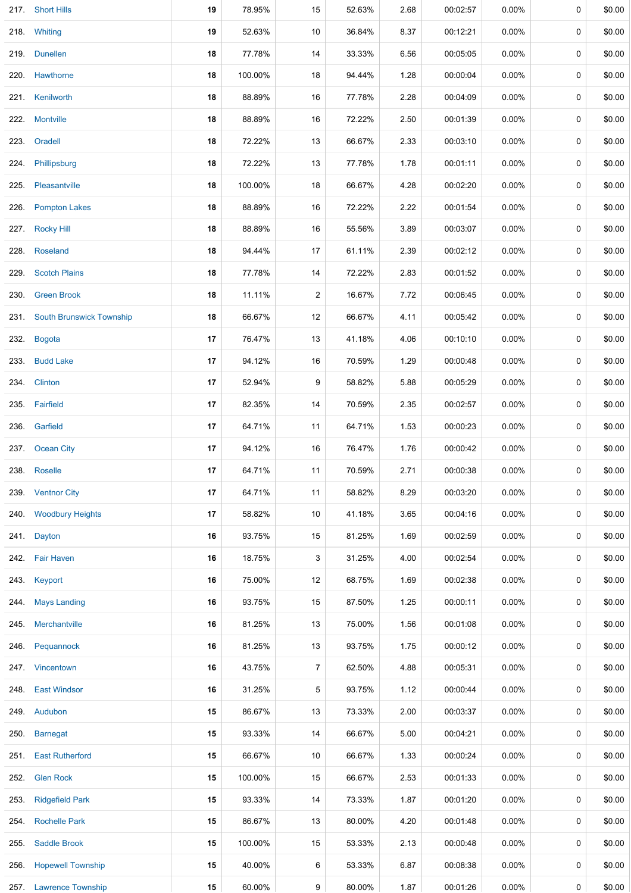|      | 217 Short Hills               | 19 | 78.95%  | 15             | 52.63% | 2.68 | 00:02:57 | 0.00%    | 0 | \$0.00 |
|------|-------------------------------|----|---------|----------------|--------|------|----------|----------|---|--------|
|      | 218. Whiting                  | 19 | 52.63%  | 10             | 36.84% | 8.37 | 00:12:21 | 0.00%    | 0 | \$0.00 |
|      | 219. Dunellen                 | 18 | 77.78%  | 14             | 33.33% | 6.56 | 00:05:05 | 0.00%    | 0 | \$0.00 |
|      | 220. Hawthorne                | 18 | 100.00% | 18             | 94.44% | 1.28 | 00:00:04 | 0.00%    | 0 | \$0.00 |
|      | 221. Kenilworth               | 18 | 88.89%  | 16             | 77.78% | 2.28 | 00:04:09 | 0.00%    | 0 | \$0.00 |
|      | 222. Montville                | 18 | 88.89%  | 16             | 72.22% | 2.50 | 00:01:39 | 0.00%    | 0 | \$0.00 |
|      | 223. Oradell                  | 18 | 72.22%  | 13             | 66.67% | 2.33 | 00:03:10 | $0.00\%$ | 0 | \$0.00 |
| 224. | Phillipsburg                  | 18 | 72.22%  | 13             | 77.78% | 1.78 | 00:01:11 | $0.00\%$ | 0 | \$0.00 |
|      | 225. Pleasantville            | 18 | 100.00% | 18             | 66.67% | 4.28 | 00:02:20 | 0.00%    | 0 | \$0.00 |
|      | 226. Pompton Lakes            | 18 | 88.89%  | 16             | 72.22% | 2.22 | 00:01:54 | $0.00\%$ | 0 | \$0.00 |
|      | 227. Rocky Hill               | 18 | 88.89%  | 16             | 55.56% | 3.89 | 00:03:07 | 0.00%    | 0 | \$0.00 |
|      | 228. Roseland                 | 18 | 94.44%  | 17             | 61.11% | 2.39 | 00:02:12 | 0.00%    | 0 | \$0.00 |
|      | 229. Scotch Plains            | 18 | 77.78%  | 14             | 72.22% | 2.83 | 00:01:52 | 0.00%    | 0 | \$0.00 |
|      | 230. Green Brook              | 18 | 11.11%  | $\overline{c}$ | 16.67% | 7.72 | 00:06:45 | 0.00%    | 0 | \$0.00 |
|      | 231. South Brunswick Township | 18 | 66.67%  | 12             | 66.67% | 4.11 | 00:05:42 | 0.00%    | 0 | \$0.00 |
| 232. | <b>Bogota</b>                 | 17 | 76.47%  | 13             | 41.18% | 4.06 | 00:10:10 | 0.00%    | 0 | \$0.00 |
|      | 233. Budd Lake                | 17 | 94.12%  | 16             | 70.59% | 1.29 | 00:00:48 | 0.00%    | 0 | \$0.00 |
|      | 234. Clinton                  | 17 | 52.94%  | 9              | 58.82% | 5.88 | 00:05:29 | 0.00%    | 0 | \$0.00 |
|      | 235. Fairfield                | 17 | 82.35%  | 14             | 70.59% | 2.35 | 00:02:57 | 0.00%    | 0 | \$0.00 |
|      | 236. Garfield                 | 17 | 64.71%  | 11             | 64.71% | 1.53 | 00:00:23 | 0.00%    | 0 | \$0.00 |
| 237. | <b>Ocean City</b>             | 17 | 94.12%  | 16             | 76.47% | 1.76 | 00:00:42 | 0.00%    | 0 | \$0.00 |
|      | 238. Roselle                  | 17 | 64.71%  | 11             | 70.59% | 2.71 | 00:00:38 | 0.00%    | 0 | \$0.00 |
|      | 239. Ventnor City             | 17 | 64.71%  | 11             | 58.82% | 8.29 | 00:03:20 | 0.00%    | 0 | \$0.00 |
|      | 240. Woodbury Heights         | 17 | 58.82%  | 10             | 41.18% | 3.65 | 00:04:16 | 0.00%    | 0 | \$0.00 |
|      | 241. Dayton                   | 16 | 93.75%  | 15             | 81.25% | 1.69 | 00:02:59 | 0.00%    | 0 | \$0.00 |
|      | 242. Fair Haven               | 16 | 18.75%  | 3              | 31.25% | 4.00 | 00:02:54 | 0.00%    | 0 | \$0.00 |
|      | 243. Keyport                  | 16 | 75.00%  | 12             | 68.75% | 1.69 | 00:02:38 | 0.00%    | 0 | \$0.00 |
| 244. | <b>Mays Landing</b>           | 16 | 93.75%  | 15             | 87.50% | 1.25 | 00:00:11 | $0.00\%$ | 0 | \$0.00 |
|      | 245. Merchantville            | 16 | 81.25%  | 13             | 75.00% | 1.56 | 00:01:08 | 0.00%    | 0 | \$0.00 |
| 246. | Pequannock                    | 16 | 81.25%  | 13             | 93.75% | 1.75 | 00:00:12 | 0.00%    | 0 | \$0.00 |
|      | 247. Vincentown               | 16 | 43.75%  | 7              | 62.50% | 4.88 | 00:05:31 | 0.00%    | 0 | \$0.00 |
| 248. | <b>East Windsor</b>           | 16 | 31.25%  | 5              | 93.75% | 1.12 | 00:00:44 | 0.00%    | 0 | \$0.00 |
|      | 249. Audubon                  | 15 | 86.67%  | 13             | 73.33% | 2.00 | 00:03:37 | 0.00%    | 0 | \$0.00 |
|      | 250. Barnegat                 | 15 | 93.33%  | 14             | 66.67% | 5.00 | 00:04:21 | 0.00%    | 0 | \$0.00 |
| 251. | <b>East Rutherford</b>        | 15 | 66.67%  | 10             | 66.67% | 1.33 | 00:00:24 | 0.00%    | 0 | \$0.00 |
| 252. | <b>Glen Rock</b>              | 15 | 100.00% | 15             | 66.67% | 2.53 | 00:01:33 | 0.00%    | 0 | \$0.00 |
| 253. | <b>Ridgefield Park</b>        | 15 | 93.33%  | 14             | 73.33% | 1.87 | 00:01:20 | 0.00%    | 0 | \$0.00 |
| 254. | <b>Rochelle Park</b>          | 15 | 86.67%  | 13             | 80.00% | 4.20 | 00:01:48 | 0.00%    | 0 | \$0.00 |
| 255. | <b>Saddle Brook</b>           | 15 | 100.00% | 15             | 53.33% | 2.13 | 00:00:48 | 0.00%    | 0 | \$0.00 |
| 256. | <b>Hopewell Township</b>      | 15 | 40.00%  | 6              | 53.33% | 6.87 | 00:08:38 | 0.00%    | 0 | \$0.00 |
|      | 257. Lawrence Township        | 15 | 60.00%  | 9              | 80.00% | 1.87 | 00:01:26 | $0.00\%$ | 0 | \$0.00 |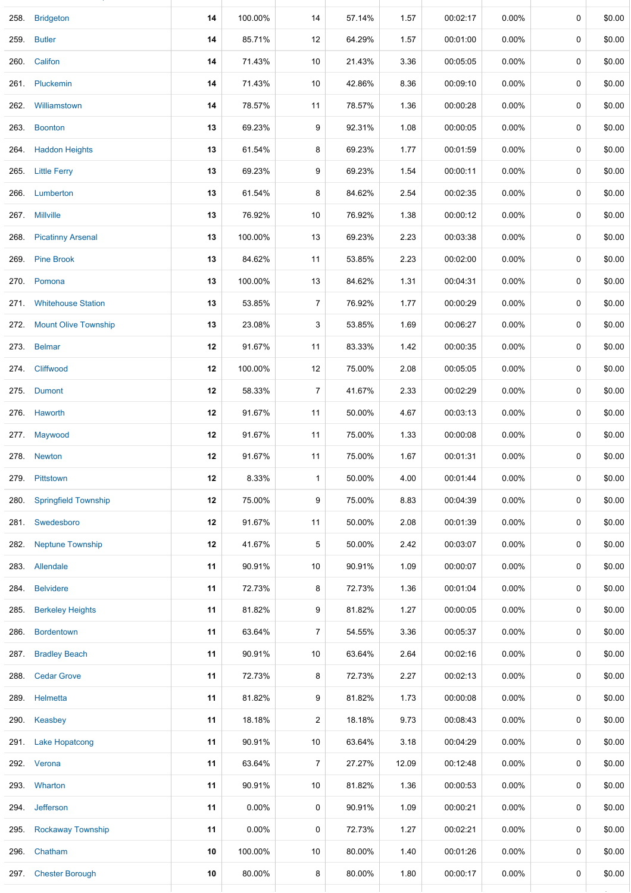|      | 258. Bridgeton              | 14 | 100.00% | 14             | 57.14% | 1.57  | 00:02:17 | $0.00\%$ | 0           | \$0.00 |
|------|-----------------------------|----|---------|----------------|--------|-------|----------|----------|-------------|--------|
|      | 259. Butler                 | 14 | 85.71%  | 12             | 64.29% | 1.57  | 00:01:00 | $0.00\%$ | 0           | \$0.00 |
|      | 260. Califon                | 14 | 71.43%  | 10             | 21.43% | 3.36  | 00:05:05 | $0.00\%$ | 0           | \$0.00 |
|      | 261. Pluckemin              | 14 | 71.43%  | 10             | 42.86% | 8.36  | 00:09:10 | $0.00\%$ | 0           | \$0.00 |
| 262. | Williamstown                | 14 | 78.57%  | 11             | 78.57% | 1.36  | 00:00:28 | $0.00\%$ | 0           | \$0.00 |
|      | 263. Boonton                | 13 | 69.23%  | 9              | 92.31% | 1.08  | 00:00:05 | $0.00\%$ | 0           | \$0.00 |
|      | 264. Haddon Heights         | 13 | 61.54%  | 8              | 69.23% | 1.77  | 00:01:59 | $0.00\%$ | 0           | \$0.00 |
|      | 265. Little Ferry           | 13 | 69.23%  | 9              | 69.23% | 1.54  | 00:00:11 | $0.00\%$ | 0           | \$0.00 |
|      | 266. Lumberton              | 13 | 61.54%  | 8              | 84.62% | 2.54  | 00:02:35 | $0.00\%$ | 0           | \$0.00 |
|      | 267. Millville              | 13 | 76.92%  | 10             | 76.92% | 1.38  | 00:00:12 | $0.00\%$ | 0           | \$0.00 |
|      | 268. Picatinny Arsenal      | 13 | 100.00% | 13             | 69.23% | 2.23  | 00:03:38 | $0.00\%$ | 0           | \$0.00 |
|      | 269. Pine Brook             | 13 | 84.62%  | 11             | 53.85% | 2.23  | 00:02:00 | 0.00%    | 0           | \$0.00 |
|      | 270. Pomona                 | 13 | 100.00% | 13             | 84.62% | 1.31  | 00:04:31 | $0.00\%$ | 0           | \$0.00 |
|      | 271. Whitehouse Station     | 13 | 53.85%  | $\overline{7}$ | 76.92% | 1.77  | 00:00:29 | $0.00\%$ | 0           | \$0.00 |
|      | 272. Mount Olive Township   | 13 | 23.08%  | 3              | 53.85% | 1.69  | 00:06:27 | $0.00\%$ | 0           | \$0.00 |
|      | 273. Belmar                 | 12 | 91.67%  | 11             | 83.33% | 1.42  | 00:00:35 | $0.00\%$ | $\mathbf 0$ | \$0.00 |
|      | 274. Cliffwood              | 12 | 100.00% | 12             | 75.00% | 2.08  | 00:05:05 | $0.00\%$ | 0           | \$0.00 |
|      | 275. Dumont                 | 12 | 58.33%  | $\overline{7}$ | 41.67% | 2.33  | 00:02:29 | $0.00\%$ | 0           | \$0.00 |
|      | 276. Haworth                | 12 | 91.67%  | 11             | 50.00% | 4.67  | 00:03:13 | $0.00\%$ | 0           | \$0.00 |
|      | 277. Maywood                | 12 | 91.67%  | 11             | 75.00% | 1.33  | 00:00:08 | 0.00%    | 0           | \$0.00 |
|      | 278. Newton                 | 12 | 91.67%  | 11             | 75.00% | 1.67  | 00:01:31 | $0.00\%$ | 0           | \$0.00 |
| 279. | Pittstown                   | 12 | 8.33%   | $\mathbf{1}$   | 50.00% | 4.00  | 00:01:44 | $0.00\%$ | 0           | \$0.00 |
| 280. | <b>Springfield Township</b> | 12 | 75.00%  | 9              | 75.00% | 8.83  | 00:04:39 | 0.00%    | $\mathbf 0$ | \$0.00 |
|      | 281. Swedesboro             | 12 | 91.67%  | 11             | 50.00% | 2.08  | 00:01:39 | $0.00\%$ | 0           | \$0.00 |
| 282. | <b>Neptune Township</b>     | 12 | 41.67%  | 5              | 50.00% | 2.42  | 00:03:07 | 0.00%    | 0           | \$0.00 |
|      | 283. Allendale              | 11 | 90.91%  | 10             | 90.91% | 1.09  | 00:00:07 | $0.00\%$ | 0           | \$0.00 |
|      | 284. Belvidere              | 11 | 72.73%  | 8              | 72.73% | 1.36  | 00:01:04 | 0.00%    | 0           | \$0.00 |
| 285. | <b>Berkeley Heights</b>     | 11 | 81.82%  | 9              | 81.82% | 1.27  | 00:00:05 | $0.00\%$ | 0           | \$0.00 |
| 286. | <b>Bordentown</b>           | 11 | 63.64%  | 7              | 54.55% | 3.36  | 00:05:37 | $0.00\%$ | 0           | \$0.00 |
| 287. | <b>Bradley Beach</b>        | 11 | 90.91%  | 10             | 63.64% | 2.64  | 00:02:16 | $0.00\%$ | 0           | \$0.00 |
| 288. | <b>Cedar Grove</b>          | 11 | 72.73%  | 8              | 72.73% | 2.27  | 00:02:13 | $0.00\%$ | 0           | \$0.00 |
| 289. | Helmetta                    | 11 | 81.82%  | 9              | 81.82% | 1.73  | 00:00:08 | 0.00%    | 0           | \$0.00 |
| 290. | Keasbey                     | 11 | 18.18%  | 2              | 18.18% | 9.73  | 00:08:43 | $0.00\%$ | 0           | \$0.00 |
| 291. | <b>Lake Hopatcong</b>       | 11 | 90.91%  | 10             | 63.64% | 3.18  | 00:04:29 | $0.00\%$ | 0           | \$0.00 |
|      | 292. Verona                 | 11 | 63.64%  | $\overline{7}$ | 27.27% | 12.09 | 00:12:48 | 0.00%    | 0           | \$0.00 |
| 293. | Wharton                     | 11 | 90.91%  | 10             | 81.82% | 1.36  | 00:00:53 | $0.00\%$ | 0           | \$0.00 |
| 294. | Jefferson                   | 11 | 0.00%   | 0              | 90.91% | 1.09  | 00:00:21 | $0.00\%$ | 0           | \$0.00 |
| 295. | <b>Rockaway Township</b>    | 11 | 0.00%   | 0              | 72.73% | 1.27  | 00:02:21 | $0.00\%$ | 0           | \$0.00 |
| 296. | Chatham                     | 10 | 100.00% | 10             | 80.00% | 1.40  | 00:01:26 | $0.00\%$ | 0           | \$0.00 |
|      | 297. Chester Borough        | 10 | 80.00%  | 8              | 80.00% | 1.80  | 00:00:17 | 0.00%    | 0           | \$0.00 |
|      |                             |    |         |                |        |       |          |          |             |        |

257. Lawrence Township **15** 60.00% 9 80.00% 1.87 00:01:26 0.00% 0 \$0.00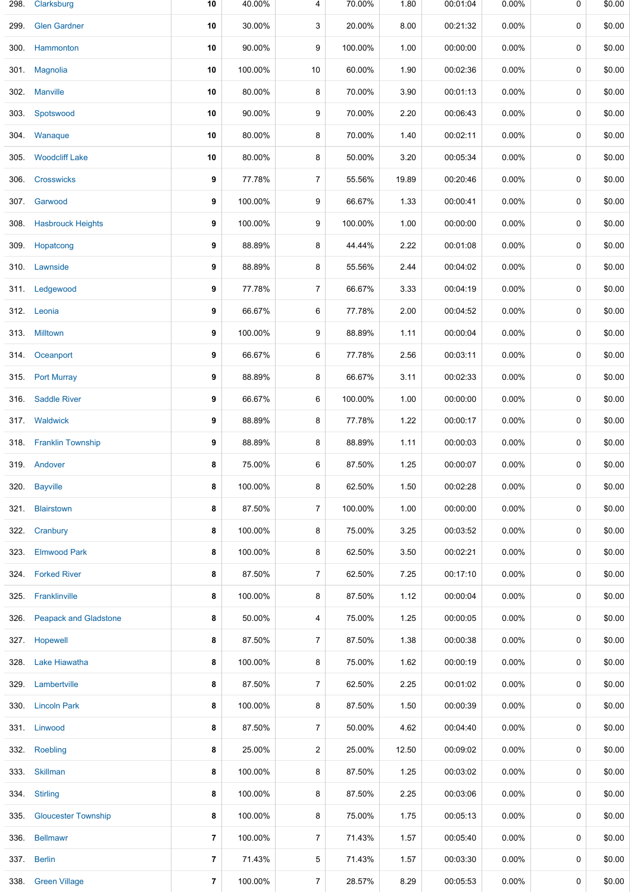| 298. | Clarksburg                 | 10                       | 40.00%  | 4              | 70.00%  | 1.80  | 00:01:04 | 0.00%    | 0 | \$0.00 |
|------|----------------------------|--------------------------|---------|----------------|---------|-------|----------|----------|---|--------|
| 299. | <b>Glen Gardner</b>        | 10                       | 30.00%  | 3              | 20.00%  | 8.00  | 00:21:32 | 0.00%    | 0 | \$0.00 |
|      | 300 Hammonton              | 10                       | 90.00%  | 9              | 100.00% | 1.00  | 00:00:00 | 0.00%    | 0 | \$0.00 |
|      | 301. Magnolia              | 10                       | 100.00% | 10             | 60.00%  | 1.90  | 00:02:36 | 0.00%    | 0 | \$0.00 |
|      | 302. Manville              | 10                       | 80.00%  | 8              | 70.00%  | 3.90  | 00:01:13 | 0.00%    | 0 | \$0.00 |
|      | 303. Spotswood             | 10                       | 90.00%  | 9              | 70.00%  | 2.20  | 00:06:43 | 0.00%    | 0 | \$0.00 |
|      | 304. Wanaque               | 10                       | 80.00%  | 8              | 70.00%  | 1.40  | 00:02:11 | 0.00%    | 0 | \$0.00 |
| 305. | <b>Woodcliff Lake</b>      | 10                       | 80.00%  | 8              | 50.00%  | 3.20  | 00:05:34 | 0.00%    | 0 | \$0.00 |
| 306. | <b>Crosswicks</b>          | 9                        | 77.78%  | $\overline{7}$ | 55.56%  | 19.89 | 00:20:46 | 0.00%    | 0 | \$0.00 |
|      | 307. Garwood               | 9                        | 100.00% | 9              | 66.67%  | 1.33  | 00:00:41 | 0.00%    | 0 | \$0.00 |
|      | 308. Hasbrouck Heights     | 9                        | 100.00% | 9              | 100.00% | 1.00  | 00:00:00 | 0.00%    | 0 | \$0.00 |
|      | 309. Hopatcong             | 9                        | 88.89%  | 8              | 44.44%  | 2.22  | 00:01:08 | 0.00%    | 0 | \$0.00 |
|      | 310. Lawnside              | 9                        | 88.89%  | 8              | 55.56%  | 2.44  | 00:04:02 | 0.00%    | 0 | \$0.00 |
|      | 311. Ledgewood             | 9                        | 77.78%  | $\overline{7}$ | 66.67%  | 3.33  | 00:04:19 | 0.00%    | 0 | \$0.00 |
|      | 312. Leonia                | 9                        | 66.67%  | 6              | 77.78%  | 2.00  | 00:04:52 | 0.00%    | 0 | \$0.00 |
|      | 313. Milltown              | 9                        | 100.00% | 9              | 88.89%  | 1.11  | 00:00:04 | 0.00%    | 0 | \$0.00 |
|      | 314 Oceanport              | 9                        | 66.67%  | 6              | 77.78%  | 2.56  | 00:03:11 | 0.00%    | 0 | \$0.00 |
|      | 315. Port Murray           | 9                        | 88.89%  | 8              | 66.67%  | 3.11  | 00:02:33 | 0.00%    | 0 | \$0.00 |
| 316. | <b>Saddle River</b>        | 9                        | 66.67%  | 6              | 100.00% | 1.00  | 00:00:00 | 0.00%    | 0 | \$0.00 |
|      | 317. Waldwick              | 9                        | 88.89%  | 8              | 77.78%  | 1.22  | 00:00:17 | 0.00%    | 0 | \$0.00 |
|      | 318. Franklin Township     | 9                        | 88.89%  | 8              | 88.89%  | 1.11  | 00:00:03 | 0.00%    | 0 | \$0.00 |
|      | 319. Andover               | 8                        | 75.00%  | 6              | 87.50%  | 1.25  | 00:00:07 | 0.00%    | 0 | \$0.00 |
|      | 320. Bayville              | 8                        | 100.00% | 8              | 62.50%  | 1.50  | 00:02:28 | 0.00%    | 0 | \$0.00 |
|      | 321. Blairstown            | 8                        | 87.50%  | $\overline{7}$ | 100.00% | 1.00  | 00:00:00 | 0.00%    | 0 | \$0.00 |
|      | 322. Cranbury              | 8                        | 100.00% | 8              | 75.00%  | 3.25  | 00:03:52 | 0.00%    | 0 | \$0.00 |
| 323. | <b>Elmwood Park</b>        | 8                        | 100.00% | 8              | 62.50%  | 3.50  | 00:02:21 | 0.00%    | 0 | \$0.00 |
|      | 324. Forked River          | 8                        | 87.50%  | 7              | 62.50%  | 7.25  | 00:17:10 | 0.00%    | 0 | \$0.00 |
| 325. | Franklinville              | 8                        | 100.00% | 8              | 87.50%  | 1.12  | 00:00:04 | 0.00%    | 0 | \$0.00 |
|      | 326. Peapack and Gladstone | 8                        | 50.00%  | 4              | 75.00%  | 1.25  | 00:00:05 | 0.00%    | 0 | \$0.00 |
|      | 327. Hopewell              | 8                        | 87.50%  | 7              | 87.50%  | 1.38  | 00:00:38 | 0.00%    | 0 | \$0.00 |
|      | 328. Lake Hiawatha         | 8                        | 100.00% | 8              | 75.00%  | 1.62  | 00:00:19 | $0.00\%$ | 0 | \$0.00 |
|      | 329. Lambertville          | 8                        | 87.50%  | 7              | 62.50%  | 2.25  | 00:01:02 | 0.00%    | 0 | \$0.00 |
|      | 330. Lincoln Park          | 8                        | 100.00% | 8              | 87.50%  | 1.50  | 00:00:39 | 0.00%    | 0 | \$0.00 |
|      | 331. Linwood               | 8                        | 87.50%  | 7              | 50.00%  | 4.62  | 00:04:40 | 0.00%    | 0 | \$0.00 |
|      | 332. Roebling              | 8                        | 25.00%  | 2              | 25.00%  | 12.50 | 00:09:02 | 0.00%    | 0 | \$0.00 |
|      | 333. Skillman              | 8                        | 100.00% | 8              | 87.50%  | 1.25  | 00:03:02 | $0.00\%$ | 0 | \$0.00 |
| 334. | <b>Stirling</b>            | 8                        | 100.00% | 8              | 87.50%  | 2.25  | 00:03:06 | 0.00%    | 0 | \$0.00 |
| 335. | <b>Gloucester Township</b> | 8                        | 100.00% | 8              | 75.00%  | 1.75  | 00:05:13 | 0.00%    | 0 | \$0.00 |
| 336. | <b>Bellmawr</b>            | $\overline{\phantom{a}}$ | 100.00% | $\overline{7}$ | 71.43%  | 1.57  | 00:05:40 | 0.00%    | 0 | \$0.00 |
|      | 337. Berlin                | $\overline{7}$           | 71.43%  | 5              | 71.43%  | 1.57  | 00:03:30 | $0.00\%$ | 0 | \$0.00 |
|      | 338. Green Village         | $\overline{7}$           | 100.00% | 7              | 28.57%  | 8.29  | 00:05:53 | 0.00%    | 0 | \$0.00 |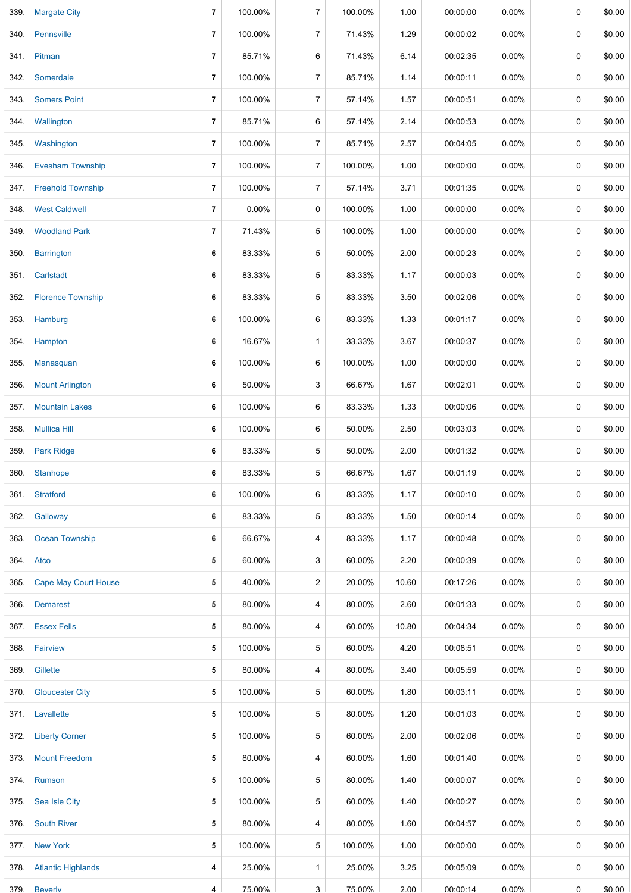|      | 339. Margate City         | 7              | 100.00% | $\overline{7}$ | 100.00% | 1.00  | 00:00:00 | 0.00%    | 0 | \$0.00 |
|------|---------------------------|----------------|---------|----------------|---------|-------|----------|----------|---|--------|
| 340. | Pennsville                | 7              | 100.00% | 7              | 71.43%  | 1.29  | 00:00:02 | 0.00%    | 0 | \$0.00 |
| 341. | Pitman                    | $\overline{7}$ | 85.71%  | 6              | 71.43%  | 6.14  | 00:02:35 | 0.00%    | 0 | \$0.00 |
| 342. | Somerdale                 | 7              | 100.00% | $\overline{7}$ | 85.71%  | 1.14  | 00:00:11 | 0.00%    | 0 | \$0.00 |
| 343. | <b>Somers Point</b>       | 7              | 100.00% | $\overline{7}$ | 57.14%  | 1.57  | 00:00:51 | 0.00%    | 0 | \$0.00 |
|      | 344. Wallington           | 7              | 85.71%  | 6              | 57.14%  | 2.14  | 00:00:53 | 0.00%    | 0 | \$0.00 |
|      | 345. Washington           | 7              | 100.00% | $\overline{7}$ | 85.71%  | 2.57  | 00:04:05 | 0.00%    | 0 | \$0.00 |
| 346. | <b>Evesham Township</b>   | $\overline{7}$ | 100.00% | $\overline{7}$ | 100.00% | 1.00  | 00:00:00 | 0.00%    | 0 | \$0.00 |
|      | 347. Freehold Township    | 7              | 100.00% | 7              | 57.14%  | 3.71  | 00:01:35 | 0.00%    | 0 | \$0.00 |
| 348. | <b>West Caldwell</b>      | $\overline{7}$ | 0.00%   | 0              | 100.00% | 1.00  | 00:00:00 | 0.00%    | 0 | \$0.00 |
|      | 349. Woodland Park        | 7              | 71.43%  | 5              | 100.00% | 1.00  | 00:00:00 | 0.00%    | 0 | \$0.00 |
| 350. | <b>Barrington</b>         | 6              | 83.33%  | $\sqrt{5}$     | 50.00%  | 2.00  | 00:00:23 | 0.00%    | 0 | \$0.00 |
| 351. | Carlstadt                 | 6              | 83.33%  | 5              | 83.33%  | 1.17  | 00:00:03 | 0.00%    | 0 | \$0.00 |
| 352. | <b>Florence Township</b>  | 6              | 83.33%  | $\sqrt{5}$     | 83.33%  | 3.50  | 00:02:06 | 0.00%    | 0 | \$0.00 |
|      | 353. Hamburg              | 6              | 100.00% | 6              | 83.33%  | 1.33  | 00:01:17 | 0.00%    | 0 | \$0.00 |
| 354. | Hampton                   | 6              | 16.67%  | $\mathbf{1}$   | 33.33%  | 3.67  | 00:00:37 | 0.00%    | 0 | \$0.00 |
| 355. | Manasquan                 | 6              | 100.00% | 6              | 100.00% | 1.00  | 00:00:00 | 0.00%    | 0 | \$0.00 |
| 356. | <b>Mount Arlington</b>    | 6              | 50.00%  | 3              | 66.67%  | 1.67  | 00:02:01 | 0.00%    | 0 | \$0.00 |
| 357. | <b>Mountain Lakes</b>     | 6              | 100.00% | 6              | 83.33%  | 1.33  | 00:00:06 | 0.00%    | 0 | \$0.00 |
| 358. | <b>Mullica Hill</b>       | 6              | 100.00% | 6              | 50.00%  | 2.50  | 00:03:03 | 0.00%    | 0 | \$0.00 |
| 359. | <b>Park Ridge</b>         | 6              | 83.33%  | $\sqrt{5}$     | 50.00%  | 2.00  | 00:01:32 | 0.00%    | 0 | \$0.00 |
|      | 360. Stanhope             | 6              | 83.33%  | 5              | 66.67%  | 1.67  | 00:01:19 | 0.00%    | 0 | \$0.00 |
|      | 361. Stratford            | 6              | 100.00% | 6              | 83.33%  | 1.17  | 00:00:10 | 0.00%    | 0 | \$0.00 |
|      | 362. Galloway             | 6              | 83.33%  | 5              | 83.33%  | 1.50  | 00:00:14 | 0.00%    | 0 | \$0.00 |
|      | 363. Ocean Township       | 6              | 66.67%  | 4              | 83.33%  | 1.17  | 00:00:48 | 0.00%    | 0 | \$0.00 |
|      | 364. Atco                 | 5              | 60.00%  | 3              | 60.00%  | 2.20  | 00:00:39 | 0.00%    | 0 | \$0.00 |
|      | 365. Cape May Court House | 5              | 40.00%  | $\overline{2}$ | 20.00%  | 10.60 | 00:17:26 | 0.00%    | 0 | \$0.00 |
| 366. | <b>Demarest</b>           | 5              | 80.00%  | 4              | 80.00%  | 2.60  | 00:01:33 | 0.00%    | 0 | \$0.00 |
|      | 367. Essex Fells          | 5              | 80.00%  | 4              | 60.00%  | 10.80 | 00:04:34 | 0.00%    | 0 | \$0.00 |
|      | 368. Fairview             | 5              | 100.00% | 5              | 60.00%  | 4.20  | 00:08:51 | 0.00%    | 0 | \$0.00 |
|      | 369. Gillette             | 5              | 80.00%  | 4              | 80.00%  | 3.40  | 00:05:59 | $0.00\%$ | 0 | \$0.00 |
| 370. | <b>Gloucester City</b>    | 5              | 100.00% | 5              | 60.00%  | 1.80  | 00:03:11 | 0.00%    | 0 | \$0.00 |
|      | 371. Lavallette           | 5              | 100.00% | 5              | 80.00%  | 1.20  | 00:01:03 | 0.00%    | 0 | \$0.00 |
|      | 372. Liberty Corner       | 5              | 100.00% | 5              | 60.00%  | 2.00  | 00:02:06 | 0.00%    | 0 | \$0.00 |
|      | 373. Mount Freedom        | 5              | 80.00%  | 4              | 60.00%  | 1.60  | 00:01:40 | 0.00%    | 0 | \$0.00 |
|      | 374. Rumson               | 5              | 100.00% | 5              | 80.00%  | 1.40  | 00:00:07 | 0.00%    | 0 | \$0.00 |
|      | 375. Sea Isle City        | 5              | 100.00% | 5              | 60.00%  | 1.40  | 00:00:27 | 0.00%    | 0 | \$0.00 |
|      | 376. South River          | 5              | 80.00%  | 4              | 80.00%  | 1.60  | 00:04:57 | 0.00%    | 0 | \$0.00 |
|      | 377. New York             | 5              | 100.00% | 5              | 100.00% | 1.00  | 00:00:00 | 0.00%    | 0 | \$0.00 |
|      | 378. Atlantic Highlands   | 4              | 25.00%  | $\mathbf{1}$   | 25.00%  | 3.25  | 00:05:09 | $0.00\%$ | 0 | \$0.00 |
| 379  | Reverly                   | 4              | 75 00%  | $\mathbf{B}$   | 75 00%  | 2 UU  | 00.00.14 | በ በበ%    | U | \$0.00 |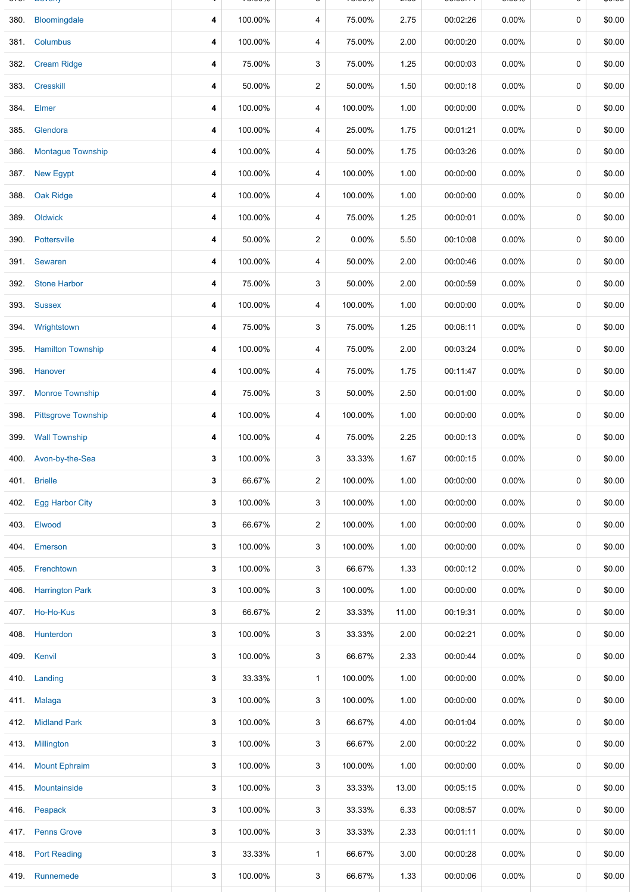| 380. | Bloomingdale               | 4 | 100.00% | 4                       | 75.00%  | 2.75  | 00:02:26 | 0.00%    | 0 | \$0.00 |
|------|----------------------------|---|---------|-------------------------|---------|-------|----------|----------|---|--------|
| 381. | Columbus                   | 4 | 100.00% | 4                       | 75.00%  | 2.00  | 00:00:20 | 0.00%    | 0 | \$0.00 |
| 382. | <b>Cream Ridge</b>         | 4 | 75.00%  | 3                       | 75.00%  | 1.25  | 00:00:03 | 0.00%    | 0 | \$0.00 |
| 383. | <b>Cresskill</b>           | 4 | 50.00%  | $\overline{c}$          | 50.00%  | 1.50  | 00:00:18 | 0.00%    | 0 | \$0.00 |
| 384. | Elmer                      | 4 | 100.00% | 4                       | 100.00% | 1.00  | 00:00:00 | 0.00%    | 0 | \$0.00 |
| 385. | Glendora                   | 4 | 100.00% | 4                       | 25.00%  | 1.75  | 00:01:21 | 0.00%    | 0 | \$0.00 |
| 386. | <b>Montague Township</b>   | 4 | 100.00% | 4                       | 50.00%  | 1.75  | 00:03:26 | 0.00%    | 0 | \$0.00 |
| 387. | <b>New Egypt</b>           | 4 | 100.00% | 4                       | 100.00% | 1.00  | 00:00:00 | 0.00%    | 0 | \$0.00 |
| 388. | <b>Oak Ridge</b>           | 4 | 100.00% | 4                       | 100.00% | 1.00  | 00:00:00 | 0.00%    | 0 | \$0.00 |
| 389. | Oldwick                    | 4 | 100.00% | 4                       | 75.00%  | 1.25  | 00:00:01 | 0.00%    | 0 | \$0.00 |
| 390. | Pottersville               | 4 | 50.00%  | $\overline{c}$          | 0.00%   | 5.50  | 00:10:08 | 0.00%    | 0 | \$0.00 |
| 391. | Sewaren                    | 4 | 100.00% | 4                       | 50.00%  | 2.00  | 00:00:46 | 0.00%    | 0 | \$0.00 |
| 392. | <b>Stone Harbor</b>        | 4 | 75.00%  | 3                       | 50.00%  | 2.00  | 00:00:59 | 0.00%    | 0 | \$0.00 |
|      | 393. Sussex                | 4 | 100.00% | 4                       | 100.00% | 1.00  | 00:00:00 | 0.00%    | 0 | \$0.00 |
| 394. | Wrightstown                | 4 | 75.00%  | 3                       | 75.00%  | 1.25  | 00:06:11 | 0.00%    | 0 | \$0.00 |
| 395. | <b>Hamilton Township</b>   | 4 | 100.00% | 4                       | 75.00%  | 2.00  | 00:03:24 | 0.00%    | 0 | \$0.00 |
| 396. | Hanover                    | 4 | 100.00% | 4                       | 75.00%  | 1.75  | 00:11:47 | 0.00%    | 0 | \$0.00 |
| 397. | <b>Monroe Township</b>     | 4 | 75.00%  | 3                       | 50.00%  | 2.50  | 00:01:00 | 0.00%    | 0 | \$0.00 |
| 398. | <b>Pittsgrove Township</b> | 4 | 100.00% | 4                       | 100.00% | 1.00  | 00:00:00 | 0.00%    | 0 | \$0.00 |
| 399. | <b>Wall Township</b>       | 4 | 100.00% | 4                       | 75.00%  | 2.25  | 00:00:13 | 0.00%    | 0 | \$0.00 |
| 400. | Avon-by-the-Sea            | 3 | 100.00% | 3                       | 33.33%  | 1.67  | 00:00:15 | 0.00%    | 0 | \$0.00 |
|      | 401. Brielle               | 3 | 66.67%  | $\overline{\mathbf{c}}$ | 100.00% | 1.00  | 00:00:00 | 0.00%    | 0 | \$0.00 |
|      | 402. Egg Harbor City       | 3 | 100.00% | 3                       | 100.00% | 1.00  | 00:00:00 | $0.00\%$ | 0 | \$0.00 |
| 403. | Elwood                     | 3 | 66.67%  | $\overline{c}$          | 100.00% | 1.00  | 00:00:00 | $0.00\%$ | 0 | \$0.00 |
| 404. | Emerson                    | 3 | 100.00% | 3                       | 100.00% | 1.00  | 00:00:00 | $0.00\%$ | 0 | \$0.00 |
|      | 405. Frenchtown            | 3 | 100.00% | 3                       | 66.67%  | 1.33  | 00:00:12 | $0.00\%$ | 0 | \$0.00 |
|      | 406. Harrington Park       | 3 | 100.00% | 3                       | 100.00% | 1.00  | 00:00:00 | $0.00\%$ | 0 | \$0.00 |
|      | 407. Ho-Ho-Kus             | 3 | 66.67%  | $\overline{c}$          | 33.33%  | 11.00 | 00:19:31 | 0.00%    | 0 | \$0.00 |
|      | 408. Hunterdon             | 3 | 100.00% | 3                       | 33.33%  | 2.00  | 00:02:21 | $0.00\%$ | 0 | \$0.00 |
|      | 409. Kenvil                | 3 | 100.00% | 3                       | 66.67%  | 2.33  | 00:00:44 | 0.00%    | 0 | \$0.00 |
|      | 410. Landing               | 3 | 33.33%  | $\mathbf{1}$            | 100.00% | 1.00  | 00:00:00 | $0.00\%$ | 0 | \$0.00 |
|      | 411. Malaga                | 3 | 100.00% | 3                       | 100.00% | 1.00  | 00:00:00 | 0.00%    | 0 | \$0.00 |
|      | 412. Midland Park          | 3 | 100.00% | 3                       | 66.67%  | 4.00  | 00:01:04 | $0.00\%$ | 0 | \$0.00 |
|      | 413. Millington            | 3 | 100.00% | 3                       | 66.67%  | 2.00  | 00:00:22 | $0.00\%$ | 0 | \$0.00 |
| 414. | <b>Mount Ephraim</b>       | 3 | 100.00% | 3                       | 100.00% | 1.00  | 00:00:00 | $0.00\%$ | 0 | \$0.00 |
|      | 415 Mountainside           | 3 | 100.00% | 3                       | 33.33%  | 13.00 | 00:05:15 | $0.00\%$ | 0 | \$0.00 |
|      | 416. Peapack               | 3 | 100.00% | 3                       | 33.33%  | 6.33  | 00:08:57 | 0.00%    | 0 | \$0.00 |
|      | 417. Penns Grove           | 3 | 100.00% | 3                       | 33.33%  | 2.33  | 00:01:11 | $0.00\%$ | 0 | \$0.00 |
|      | 418. Port Reading          | 3 | 33.33%  | $\mathbf{1}$            | 66.67%  | 3.00  | 00:00:28 | 0.00%    | 0 | \$0.00 |
|      | 419 Runnemede              | 3 | 100.00% | 3                       | 66.67%  | 1.33  | 00:00:06 | $0.00\%$ | 0 | \$0.00 |
|      |                            |   |         |                         |         |       |          |          |   |        |

379. Beverly **4** 75.00% 3 75.00% 2.00 00:00:14 0.00% 0 \$0.00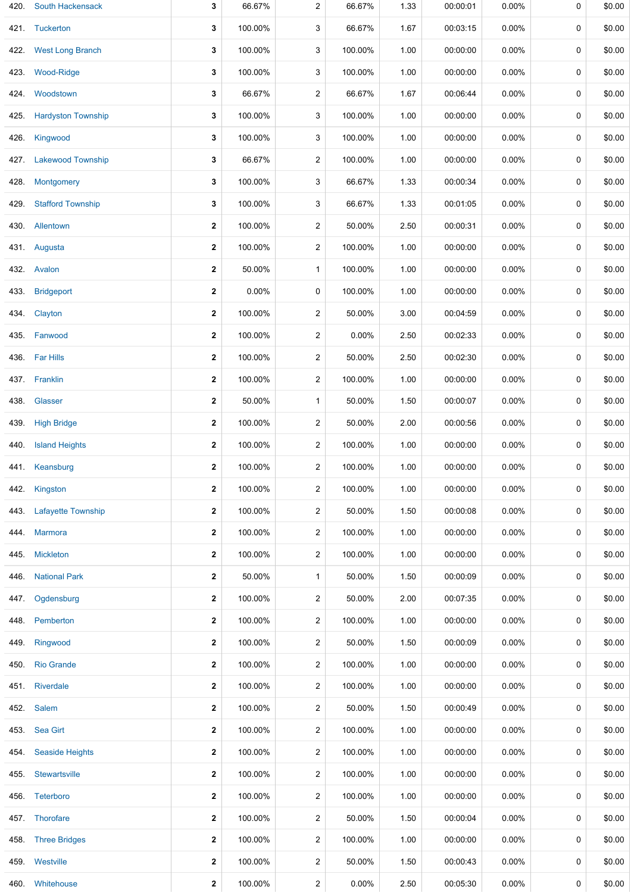| 420. | <b>South Hackensack</b>   | 3                | 66.67%  | $\overline{c}$ | 66.67%  | 1.33 | 00:00:01 | 0.00%    | 0           | \$0.00 |
|------|---------------------------|------------------|---------|----------------|---------|------|----------|----------|-------------|--------|
|      | 421. Tuckerton            | 3                | 100.00% | 3              | 66.67%  | 1.67 | 00:03:15 | 0.00%    | 0           | \$0.00 |
| 422. | <b>West Long Branch</b>   | 3                | 100.00% | 3              | 100.00% | 1.00 | 00:00:00 | 0.00%    | 0           | \$0.00 |
| 423. | Wood-Ridge                | 3                | 100.00% | 3              | 100.00% | 1.00 | 00:00:00 | 0.00%    | 0           | \$0.00 |
| 424. | Woodstown                 | 3                | 66.67%  | $\overline{2}$ | 66.67%  | 1.67 | 00:06:44 | 0.00%    | 0           | \$0.00 |
| 425. | <b>Hardyston Township</b> | 3                | 100.00% | 3              | 100.00% | 1.00 | 00:00:00 | 0.00%    | 0           | \$0.00 |
| 426. | Kingwood                  | 3                | 100.00% | 3              | 100.00% | 1.00 | 00:00:00 | 0.00%    | 0           | \$0.00 |
| 427. | <b>Lakewood Township</b>  | 3                | 66.67%  | 2              | 100.00% | 1.00 | 00:00:00 | 0.00%    | 0           | \$0.00 |
| 428. | Montgomery                | 3                | 100.00% | 3              | 66.67%  | 1.33 | 00:00:34 | 0.00%    | 0           | \$0.00 |
| 429. | <b>Stafford Township</b>  | 3                | 100.00% | 3              | 66.67%  | 1.33 | 00:01:05 | 0.00%    | 0           | \$0.00 |
|      | 430. Allentown            | $\mathbf{2}$     | 100.00% | 2              | 50.00%  | 2.50 | 00:00:31 | 0.00%    | 0           | \$0.00 |
|      | 431. Augusta              | $\mathbf 2$      | 100.00% | $\overline{2}$ | 100.00% | 1.00 | 00:00:00 | 0.00%    | 0           | \$0.00 |
|      | 432. Avalon               | $\mathbf 2$      | 50.00%  | $\mathbf{1}$   | 100.00% | 1.00 | 00:00:00 | 0.00%    | 0           | \$0.00 |
| 433. | <b>Bridgeport</b>         | $\boldsymbol{2}$ | 0.00%   | 0              | 100.00% | 1.00 | 00:00:00 | 0.00%    | 0           | \$0.00 |
| 434. | Clayton                   | $\mathbf{2}$     | 100.00% | 2              | 50.00%  | 3.00 | 00:04:59 | 0.00%    | 0           | \$0.00 |
| 435. | Fanwood                   | $\mathbf{2}$     | 100.00% | $\overline{c}$ | 0.00%   | 2.50 | 00:02:33 | 0.00%    | 0           | \$0.00 |
|      | 436. Far Hills            | $\mathbf{2}$     | 100.00% | 2              | 50.00%  | 2.50 | 00:02:30 | 0.00%    | 0           | \$0.00 |
| 437. | Franklin                  | $\mathbf{2}$     | 100.00% | $\overline{c}$ | 100.00% | 1.00 | 00:00:00 | 0.00%    | 0           | \$0.00 |
| 438. | Glasser                   | $\mathbf{2}$     | 50.00%  | $\mathbf{1}$   | 50.00%  | 1.50 | 00:00:07 | 0.00%    | 0           | \$0.00 |
| 439. | <b>High Bridge</b>        | $\mathbf{2}$     | 100.00% | $\overline{c}$ | 50.00%  | 2.00 | 00:00:56 | 0.00%    | 0           | \$0.00 |
| 440. | <b>Island Heights</b>     | $\mathbf{2}$     | 100.00% | $\overline{c}$ | 100.00% | 1.00 | 00:00:00 | 0.00%    | 0           | \$0.00 |
|      | 441. Keansburg            | $\mathbf{2}$     | 100.00% | $\overline{c}$ | 100.00% | 1.00 | 00:00:00 | 0.00%    | 0           | \$0.00 |
|      | 442. Kingston             | $\mathbf{2}$     | 100.00% | $\overline{2}$ | 100.00% | 1.00 | 00:00:00 | 0.00%    | 0           | \$0.00 |
| 443. | <b>Lafayette Township</b> | $\mathbf{2}$     | 100.00% | $\overline{c}$ | 50.00%  | 1.50 | 00:00:08 | 0.00%    | 0           | \$0.00 |
| 444. | <b>Marmora</b>            | $\boldsymbol{2}$ | 100.00% | $\overline{2}$ | 100.00% | 1.00 | 00:00:00 | $0.00\%$ | 0           | \$0.00 |
| 445. | Mickleton                 | $\mathbf{2}$     | 100.00% | 2              | 100.00% | 1.00 | 00:00:00 | 0.00%    | 0           | \$0.00 |
| 446. | <b>National Park</b>      | $\mathbf{2}$     | 50.00%  | $\mathbf{1}$   | 50.00%  | 1.50 | 00:00:09 | 0.00%    | 0           | \$0.00 |
| 447. | Ogdensburg                | $\mathbf{2}$     | 100.00% | $\overline{c}$ | 50.00%  | 2.00 | 00:07:35 | 0.00%    | 0           | \$0.00 |
| 448. | Pemberton                 | $\mathbf{2}$     | 100.00% | $\overline{c}$ | 100.00% | 1.00 | 00:00:00 | 0.00%    | 0           | \$0.00 |
| 449. | Ringwood                  | $\mathbf{2}$     | 100.00% | $\overline{2}$ | 50.00%  | 1.50 | 00:00:09 | 0.00%    | 0           | \$0.00 |
| 450. | <b>Rio Grande</b>         | $\mathbf{2}$     | 100.00% | 2              | 100.00% | 1.00 | 00:00:00 | 0.00%    | 0           | \$0.00 |
| 451. | Riverdale                 | $\mathbf{2}$     | 100.00% | $\overline{2}$ | 100.00% | 1.00 | 00:00:00 | 0.00%    | 0           | \$0.00 |
|      | 452. Salem                | $\mathbf{2}$     | 100.00% | 2              | 50.00%  | 1.50 | 00:00:49 | $0.00\%$ | 0           | \$0.00 |
|      | 453. Sea Girt             | $\mathbf{2}$     | 100.00% | $\overline{2}$ | 100.00% | 1.00 | 00:00:00 | 0.00%    | 0           | \$0.00 |
| 454. | <b>Seaside Heights</b>    | $\mathbf{2}$     | 100.00% | 2              | 100.00% | 1.00 | 00:00:00 | 0.00%    | 0           | \$0.00 |
| 455. | Stewartsville             | $\mathbf{2}$     | 100.00% | $\overline{2}$ | 100.00% | 1.00 | 00:00:00 | 0.00%    | 0           | \$0.00 |
|      | 456. Teterboro            | $\mathbf{2}$     | 100.00% | 2              | 100.00% | 1.00 | 00:00:00 | 0.00%    | 0           | \$0.00 |
|      | 457. Thorofare            | $\mathbf{2}$     | 100.00% | $\overline{c}$ | 50.00%  | 1.50 | 00:00:04 | 0.00%    | $\mathbf 0$ | \$0.00 |
|      | 458. Three Bridges        | $\mathbf{2}$     | 100.00% | $\overline{c}$ | 100.00% | 1.00 | 00:00:00 | 0.00%    | 0           | \$0.00 |
|      | 459. Westville            | $\mathbf{2}$     | 100.00% | $\overline{c}$ | 50.00%  | 1.50 | 00:00:43 | 0.00%    | 0           | \$0.00 |
|      | 460. Whitehouse           | $\mathbf{2}$     | 100.00% | 2              | 0.00%   | 2.50 | 00:05:30 | 0.00%    | 0           | \$0.00 |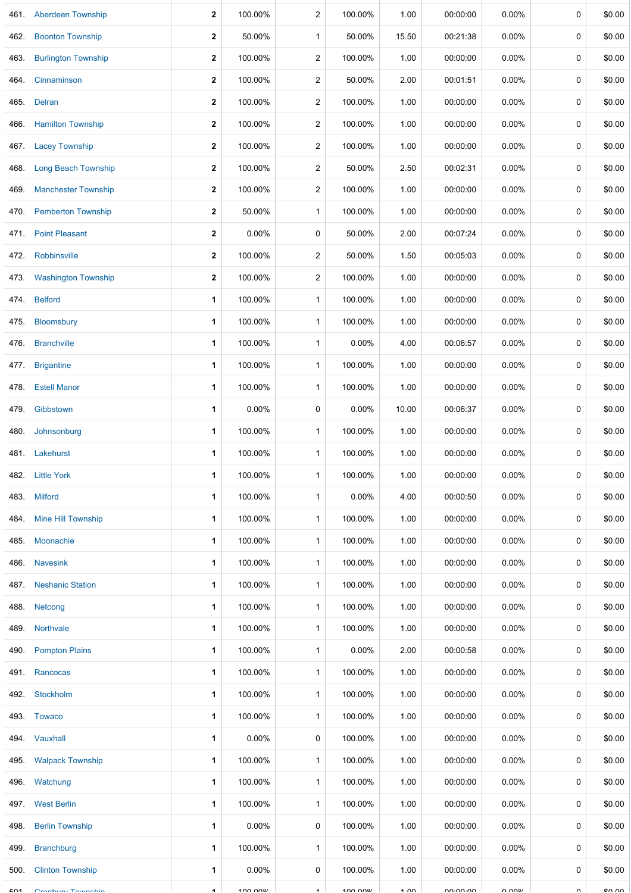|      | 461. Aberdeen Township     | 2            | 100.00% | 2              | 100.00%  | 1.00   | 00:00:00 | 0.00%    | 0      | \$0.00 |
|------|----------------------------|--------------|---------|----------------|----------|--------|----------|----------|--------|--------|
| 462. | <b>Boonton Township</b>    | $\mathbf{2}$ | 50.00%  | $\mathbf{1}$   | 50.00%   | 15.50  | 00:21:38 | 0.00%    | 0      | \$0.00 |
| 463. | <b>Burlington Township</b> | $\mathbf{2}$ | 100.00% | $\overline{2}$ | 100.00%  | 1.00   | 00:00:00 | 0.00%    | 0      | \$0.00 |
| 464. | Cinnaminson                | $\mathbf{2}$ | 100.00% | $\overline{c}$ | 50.00%   | 2.00   | 00:01:51 | 0.00%    | 0      | \$0.00 |
| 465. | Delran                     | $\mathbf{2}$ | 100.00% | $\overline{c}$ | 100.00%  | 1.00   | 00:00:00 | 0.00%    | 0      | \$0.00 |
| 466. | <b>Hamilton Township</b>   | $\mathbf{2}$ | 100.00% | $\overline{c}$ | 100.00%  | 1.00   | 00:00:00 | 0.00%    | 0      | \$0.00 |
| 467. | <b>Lacey Township</b>      | $\mathbf{2}$ | 100.00% | $\overline{c}$ | 100.00%  | 1.00   | 00:00:00 | 0.00%    | 0      | \$0.00 |
| 468. | <b>Long Beach Township</b> | $\mathbf 2$  | 100.00% | $\overline{c}$ | 50.00%   | 2.50   | 00:02:31 | 0.00%    | 0      | \$0.00 |
| 469. | <b>Manchester Township</b> | $\mathbf{2}$ | 100.00% | $\overline{c}$ | 100.00%  | 1.00   | 00:00:00 | $0.00\%$ | 0      | \$0.00 |
| 470. | <b>Pemberton Township</b>  | $\mathbf{2}$ | 50.00%  | $\mathbf{1}$   | 100.00%  | 1.00   | 00:00:00 | 0.00%    | 0      | \$0.00 |
| 471. | <b>Point Pleasant</b>      | $\mathbf{2}$ | 0.00%   | 0              | 50.00%   | 2.00   | 00:07:24 | 0.00%    | 0      | \$0.00 |
| 472. | Robbinsville               | $\mathbf{2}$ | 100.00% | $\overline{c}$ | 50.00%   | 1.50   | 00:05:03 | 0.00%    | 0      | \$0.00 |
| 473. | <b>Washington Township</b> | $\mathbf{2}$ | 100.00% | $\overline{c}$ | 100.00%  | 1.00   | 00:00:00 | 0.00%    | 0      | \$0.00 |
|      | 474. Belford               | 1            | 100.00% | $\mathbf{1}$   | 100.00%  | 1.00   | 00:00:00 | 0.00%    | 0      | \$0.00 |
| 475. | <b>Bloomsbury</b>          | 1            | 100.00% | $\mathbf{1}$   | 100.00%  | 1.00   | 00:00:00 | 0.00%    | 0      | \$0.00 |
| 476. | <b>Branchville</b>         | 1            | 100.00% | $\mathbf{1}$   | 0.00%    | 4.00   | 00:06:57 | 0.00%    | 0      | \$0.00 |
| 477. | <b>Brigantine</b>          | 1            | 100.00% | $\mathbf{1}$   | 100.00%  | 1.00   | 00:00:00 | 0.00%    | 0      | \$0.00 |
| 478. | <b>Estell Manor</b>        | 1            | 100.00% | $\mathbf{1}$   | 100.00%  | 1.00   | 00:00:00 | 0.00%    | 0      | \$0.00 |
| 479. | Gibbstown                  | 1            | 0.00%   | 0              | $0.00\%$ | 10.00  | 00:06:37 | $0.00\%$ | 0      | \$0.00 |
| 480. | Johnsonburg                | 1            | 100.00% | $\mathbf{1}$   | 100.00%  | 1.00   | 00:00:00 | $0.00\%$ | 0      | \$0.00 |
|      | 481. Lakehurst             | 1            | 100.00% | $\mathbf{1}$   | 100.00%  | 1.00   | 00:00:00 | $0.00\%$ | 0      | \$0.00 |
| 482. | <b>Little York</b>         | 1            | 100.00% | $\mathbf{1}$   | 100.00%  | 1.00   | 00:00:00 | 0.00%    | 0      | \$0.00 |
| 483. | <b>Milford</b>             | 1            | 100.00% | $\mathbf{1}$   | $0.00\%$ | 4.00   | 00:00:50 | $0.00\%$ | 0      | \$0.00 |
| 484. | Mine Hill Township         | 1            | 100.00% | $\mathbf{1}$   | 100.00%  | 1.00   | 00:00:00 | $0.00\%$ | 0      | \$0.00 |
| 485. | Moonachie                  | 1            | 100.00% | $\mathbf{1}$   | 100.00%  | 1.00   | 00:00:00 | 0.00%    | 0      | \$0.00 |
| 486. | <b>Navesink</b>            | 1            | 100.00% | $\mathbf{1}$   | 100.00%  | 1.00   | 00:00:00 | 0.00%    | 0      | \$0.00 |
| 487. | <b>Neshanic Station</b>    | 1            | 100.00% | $\mathbf{1}$   | 100.00%  | 1.00   | 00:00:00 | $0.00\%$ | 0      | \$0.00 |
| 488. | Netcong                    | 1            | 100.00% | $\mathbf{1}$   | 100.00%  | 1.00   | 00:00:00 | $0.00\%$ | 0      | \$0.00 |
| 489. | Northvale                  | 1            | 100.00% | $\mathbf{1}$   | 100.00%  | 1.00   | 00:00:00 | $0.00\%$ | 0      | \$0.00 |
| 490. | <b>Pompton Plains</b>      | 1            | 100.00% | $\mathbf{1}$   | 0.00%    | 2.00   | 00:00:58 | $0.00\%$ | 0      | \$0.00 |
| 491. | Rancocas                   | 1            | 100.00% | $\mathbf{1}$   | 100.00%  | 1.00   | 00:00:00 | $0.00\%$ | 0      | \$0.00 |
| 492. | Stockholm                  | 1            | 100.00% | $\mathbf{1}$   | 100.00%  | 1.00   | 00:00:00 | 0.00%    | 0      | \$0.00 |
| 493. | <b>Towaco</b>              | 1            | 100.00% | $\mathbf{1}$   | 100.00%  | 1.00   | 00:00:00 | $0.00\%$ | 0      | \$0.00 |
|      | 494. Vauxhall              | 1            | 0.00%   | 0              | 100.00%  | 1.00   | 00:00:00 | 0.00%    | 0      | \$0.00 |
| 495. | <b>Walpack Township</b>    | 1            | 100.00% | $\mathbf{1}$   | 100.00%  | 1.00   | 00:00:00 | 0.00%    | 0      | \$0.00 |
|      | 496. Watchung              | 1            | 100.00% | $\mathbf{1}$   | 100.00%  | 1.00   | 00:00:00 | 0.00%    | 0      | \$0.00 |
| 497. | <b>West Berlin</b>         | 1            | 100.00% | $\mathbf{1}$   | 100.00%  | 1.00   | 00:00:00 | $0.00\%$ | 0      | \$0.00 |
| 498. | <b>Berlin Township</b>     | 1            | 0.00%   | 0              | 100.00%  | 1.00   | 00:00:00 | $0.00\%$ | 0      | \$0.00 |
| 499. | <b>Branchburg</b>          | 1            | 100.00% | $\mathbf{1}$   | 100.00%  | 1.00   | 00:00:00 | $0.00\%$ | 0      | \$0.00 |
| 500. | <b>Clinton Township</b>    | 1            | 0.00%   | 0              | 100.00%  | 1.00   | 00:00:00 | 0.00%    | 0      | \$0.00 |
| EO4  | Cranking, Taiwaakir        |              | 100000  |                | 100000   | $\sim$ | 0.0000   | 0.0001   | $\sim$ | 0000   |